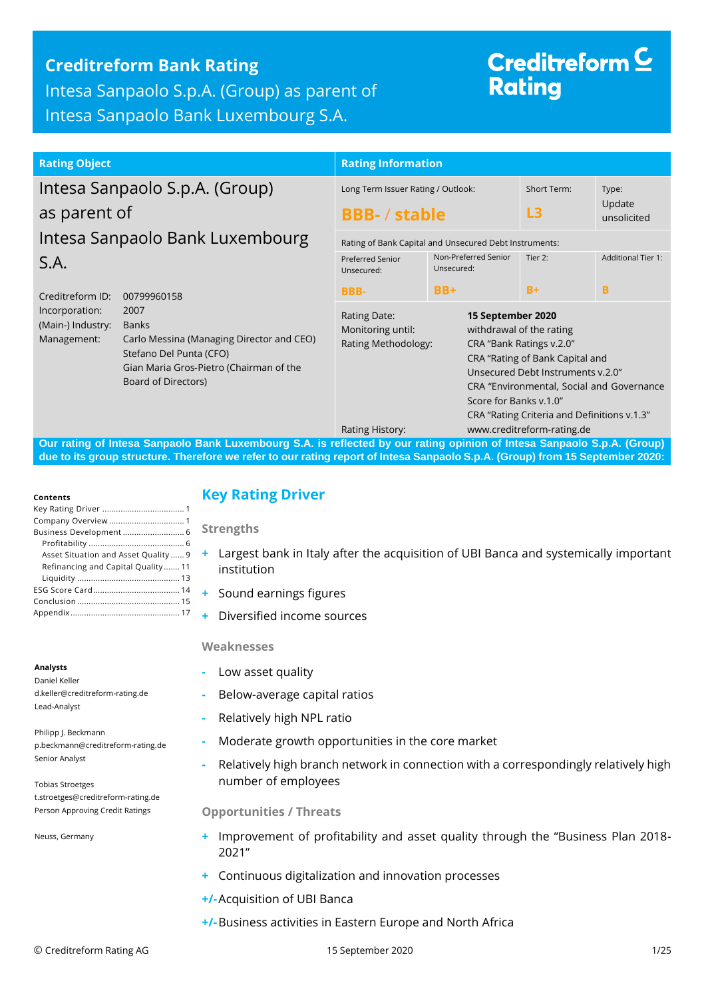## **Creditreform Bank Rating**

Intesa Sanpaolo S.p.A. (Group) as parent of Intesa Sanpaolo Bank Luxembourg S.A.

# Creditreform  $\subseteq$ **Rating**

#### **Rating Object Rating Information** Intesa Sanpaolo S.p.A. (Group) as parent of Intesa Sanpaolo Bank Luxembourg S.A. Creditreform ID: 00799960158 Incorporation: 2007 (Main-) Industry: Banks Management: Carlo Messina (Managing Director and CEO) Stefano Del Punta (CFO) Gian Maria Gros‐Pietro (Chairman of the Board of Directors) Long Term Issuer Rating / Outlook: **BBB-** / **stable** Short Term: **L3** Type: Update unsolicited Rating of Bank Capital and Unsecured Debt Instruments: Preferred Senior Unsecured: **BBB-**Non-Preferred Senior Unsecured: **BB+** Tier 2: **B+** Additional Tier 1: **B** Rating Date: **15 September 2020** Monitoring until: withdrawal of the rating Rating Methodology: CRA "Bank Ratings v.2.0" CRA "Rating of Bank Capital and Unsecured Debt Instruments v.2.0" CRA "Environmental, Social and Governance Score for Banks v.1.0" CRA "Rating Criteria and Definitions v.1.3"

Rating History: www.creditreform-rating.de

**Our rating of Intesa Sanpaolo Bank Luxembourg S.A. is reflected by our rating opinion of Intesa Sanpaolo S.p.A. (Group) due to its group structure. Therefore we refer to our rating report of Intesa Sanpaolo S.p.A. (Group) from 15 September 2020:**

#### **Contents**

| Asset Situation and Asset Quality  9 |
|--------------------------------------|
| Refinancing and Capital Quality 11   |
|                                      |
|                                      |
|                                      |
|                                      |
|                                      |

## <span id="page-0-0"></span>**Key Rating Driver**

**Strengths**

- **+** Largest bank in Italy after the acquisition of UBI Banca and systemically important institution
- **+** Sound earnings figures
- **+** Diversified income sources

### **Weaknesses**

- **-** Low asset quality
- **-** Below-average capital ratios
- **-** Relatively high NPL ratio
- **-** Moderate growth opportunities in the core market
- **-** Relatively high branch network in connection with a correspondingly relatively high number of employees

### **Opportunities / Threats**

- <span id="page-0-1"></span>**+** Improvement of profitability and asset quality through the "Business Plan 2018- 2021"
- **+** Continuous digitalization and innovation processes
- **+/-**Acquisition of UBI Banca
- **+/-**Business activities in Eastern Europe and North Africa

Daniel Keller d.keller@creditreform-rating.de Lead-Analyst

Philipp J. Beckmann p.beckmann@creditreform-rating.de Senior Analyst

Tobias Stroetges t.stroetges@creditreform-rating.de Person Approving Credit Ratings

Neuss, Germany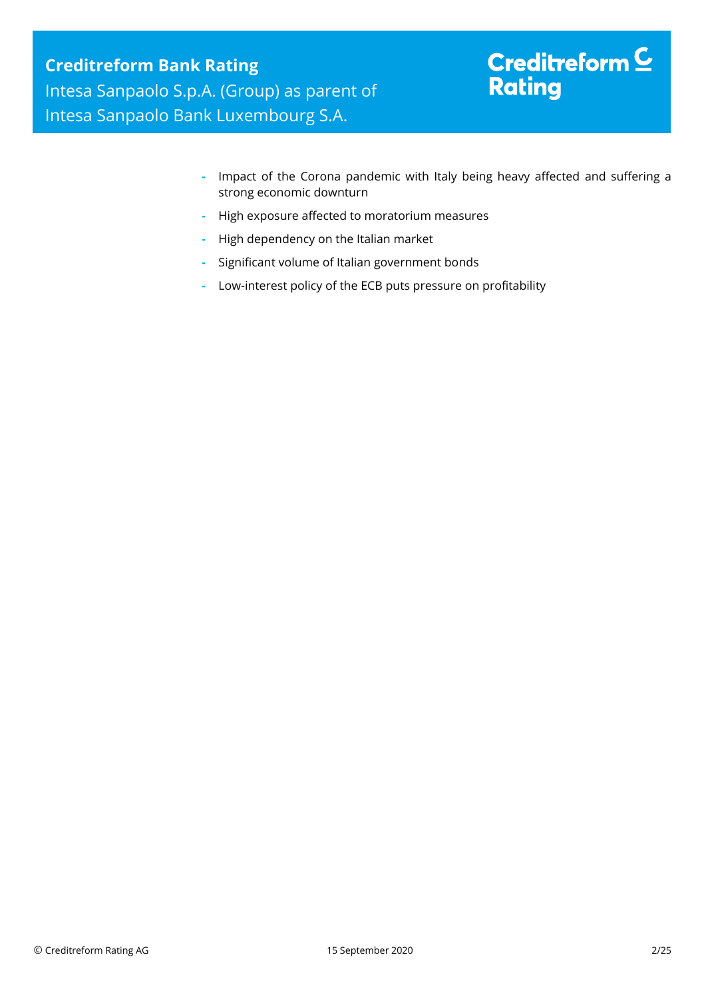# Creditreform  $C$ **Rating**

- **-** Impact of the Corona pandemic with Italy being heavy affected and suffering a strong economic downturn
- **-** High exposure affected to moratorium measures
- **-** High dependency on the Italian market
- **-** Significant volume of Italian government bonds
- **-** Low-interest policy of the ECB puts pressure on profitability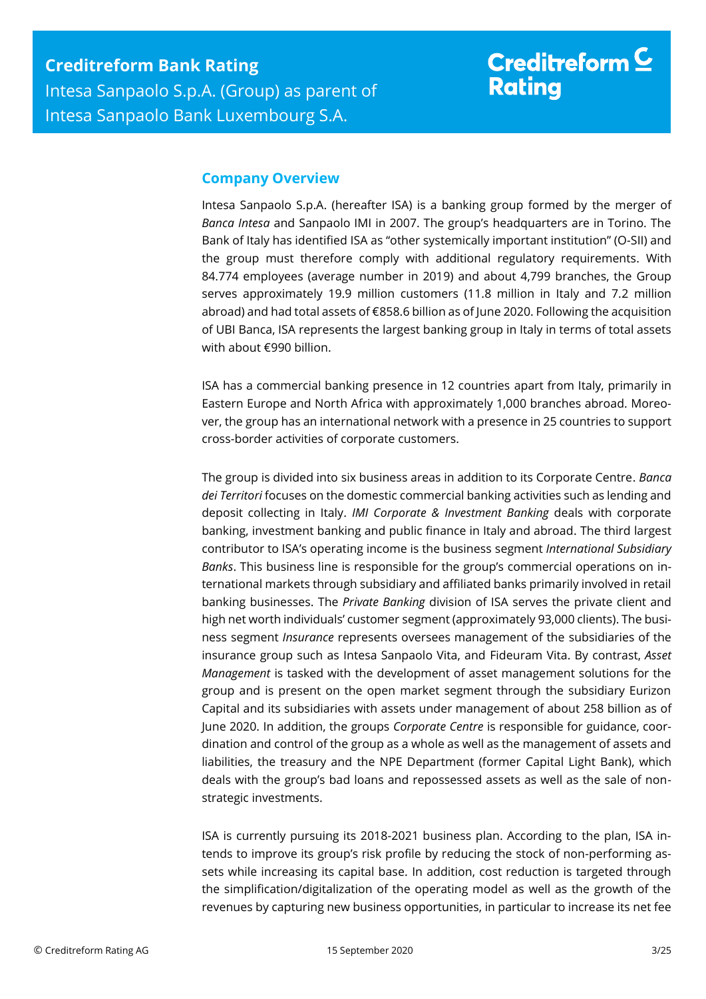## **Company Overview**

Intesa Sanpaolo S.p.A. (hereafter ISA) is a banking group formed by the merger of *Banca Intesa* and Sanpaolo IMI in 2007. The group's headquarters are in Torino. The Bank of Italy has identified ISA as "other systemically important institution" (O-SII) and the group must therefore comply with additional regulatory requirements. With 84.774 employees (average number in 2019) and about 4,799 branches, the Group serves approximately 19.9 million customers (11.8 million in Italy and 7.2 million abroad) and had total assets of €858.6 billion as of June 2020. Following the acquisition of UBI Banca, ISA represents the largest banking group in Italy in terms of total assets with about €990 billion.

ISA has a commercial banking presence in 12 countries apart from Italy, primarily in Eastern Europe and North Africa with approximately 1,000 branches abroad. Moreover, the group has an international network with a presence in 25 countries to support cross-border activities of corporate customers.

The group is divided into six business areas in addition to its Corporate Centre. *Banca dei Territori* focuses on the domestic commercial banking activities such as lending and deposit collecting in Italy. *IMI Corporate & Investment Banking* deals with corporate banking, investment banking and public finance in Italy and abroad. The third largest contributor to ISA's operating income is the business segment *International Subsidiary Banks*. This business line is responsible for the group's commercial operations on international markets through subsidiary and affiliated banks primarily involved in retail banking businesses. The *Private Banking* division of ISA serves the private client and high net worth individuals' customer segment (approximately 93,000 clients). The business segment *Insurance* represents oversees management of the subsidiaries of the insurance group such as Intesa Sanpaolo Vita, and Fideuram Vita. By contrast, *Asset Management* is tasked with the development of asset management solutions for the group and is present on the open market segment through the subsidiary Eurizon Capital and its subsidiaries with assets under management of about 258 billion as of June 2020. In addition, the groups *Corporate Centre* is responsible for guidance, coordination and control of the group as a whole as well as the management of assets and liabilities, the treasury and the NPE Department (former Capital Light Bank), which deals with the group's bad loans and repossessed assets as well as the sale of nonstrategic investments.

ISA is currently pursuing its 2018-2021 business plan. According to the plan, ISA intends to improve its group's risk profile by reducing the stock of non-performing assets while increasing its capital base. In addition, cost reduction is targeted through the simplification/digitalization of the operating model as well as the growth of the revenues by capturing new business opportunities, in particular to increase its net fee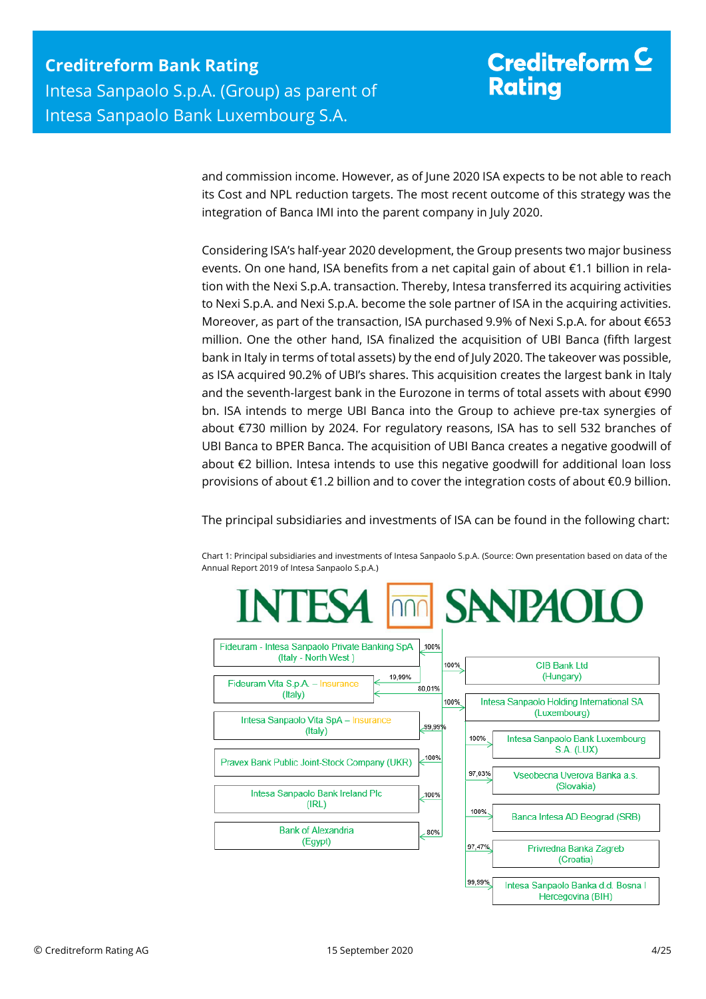# Creditreform  $\subseteq$ **Rating**

and commission income. However, as of June 2020 ISA expects to be not able to reach its Cost and NPL reduction targets. The most recent outcome of this strategy was the integration of Banca IMI into the parent company in July 2020.

Considering ISA's half-year 2020 development, the Group presents two major business events. On one hand, ISA benefits from a net capital gain of about €1.1 billion in relation with the Nexi S.p.A. transaction. Thereby, Intesa transferred its acquiring activities to Nexi S.p.A. and Nexi S.p.A. become the sole partner of ISA in the acquiring activities. Moreover, as part of the transaction, ISA purchased 9.9% of Nexi S.p.A. for about €653 million. One the other hand, ISA finalized the acquisition of UBI Banca (fifth largest bank in Italy in terms of total assets) by the end of July 2020. The takeover was possible, as ISA acquired 90.2% of UBI's shares. This acquisition creates the largest bank in Italy and the seventh-largest bank in the Eurozone in terms of total assets with about €990 bn. ISA intends to merge UBI Banca into the Group to achieve pre-tax synergies of about €730 million by 2024. For regulatory reasons, ISA has to sell 532 branches of UBI Banca to BPER Banca. The acquisition of UBI Banca creates a negative goodwill of about €2 billion. Intesa intends to use this negative goodwill for additional loan loss provisions of about €1.2 billion and to cover the integration costs of about €0.9 billion.

The principal subsidiaries and investments of ISA can be found in the following chart:

Chart 1: Principal subsidiaries and investments of Intesa Sanpaolo S.p.A. (Source: Own presentation based on data of the Annual Report 2019 of Intesa Sanpaolo S.p.A.)

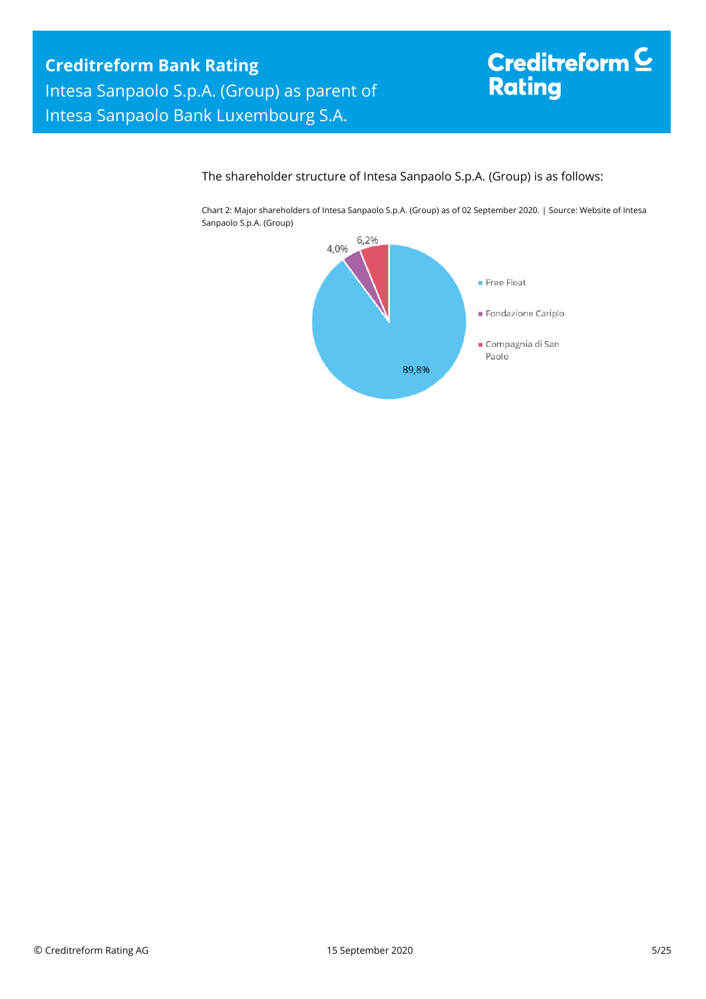# Creditreform<sup>C</sup> Rating

## The shareholder structure of Intesa Sanpaolo S.p.A. (Group) is as follows:

Chart 2: Major shareholders of Intesa Sanpaolo S.p.A. (Group) as of 02 September 2020. | Source: Website of Intesa Sanpaolo S.p.A. (Group)

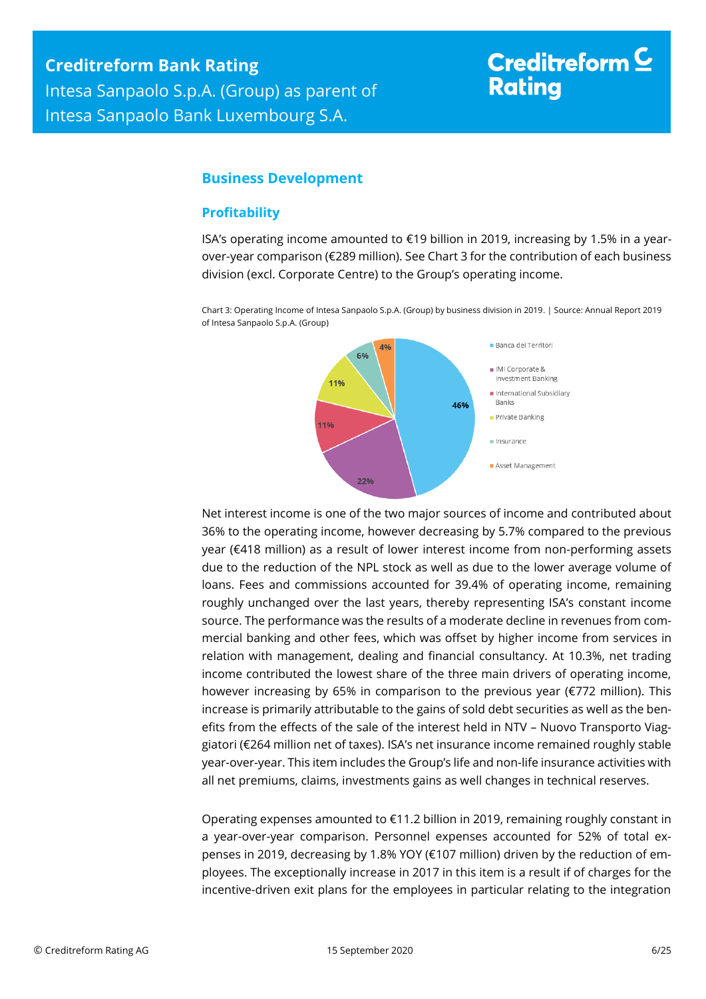# Creditreform  $\subseteq$ **Rating**

## <span id="page-5-0"></span>**Business Development**

## <span id="page-5-1"></span>**Profitability**

ISA's operating income amounted to  $\epsilon$ 19 billion in 2019, increasing by 1.5% in a yearover-year comparison (€289 million). See Chart 3 for the contribution of each business division (excl. Corporate Centre) to the Group's operating income.

Chart 3: Operating Income of Intesa Sanpaolo S.p.A. (Group) by business division in 2019. | Source: Annual Report 2019 of Intesa Sanpaolo S.p.A. (Group)



Net interest income is one of the two major sources of income and contributed about 36% to the operating income, however decreasing by 5.7% compared to the previous year (€418 million) as a result of lower interest income from non-performing assets due to the reduction of the NPL stock as well as due to the lower average volume of loans. Fees and commissions accounted for 39.4% of operating income, remaining roughly unchanged over the last years, thereby representing ISA's constant income source. The performance was the results of a moderate decline in revenues from commercial banking and other fees, which was offset by higher income from services in relation with management, dealing and financial consultancy. At 10.3%, net trading income contributed the lowest share of the three main drivers of operating income, however increasing by 65% in comparison to the previous year (€772 million). This increase is primarily attributable to the gains of sold debt securities as well as the benefits from the effects of the sale of the interest held in NTV – Nuovo Transporto Viaggiatori (€264 million net of taxes). ISA's net insurance income remained roughly stable year-over-year. This item includes the Group's life and non-life insurance activities with all net premiums, claims, investments gains as well changes in technical reserves.

Operating expenses amounted to €11.2 billion in 2019, remaining roughly constant in a year-over-year comparison. Personnel expenses accounted for 52% of total expenses in 2019, decreasing by 1.8% YOY (€107 million) driven by the reduction of employees. The exceptionally increase in 2017 in this item is a result if of charges for the incentive-driven exit plans for the employees in particular relating to the integration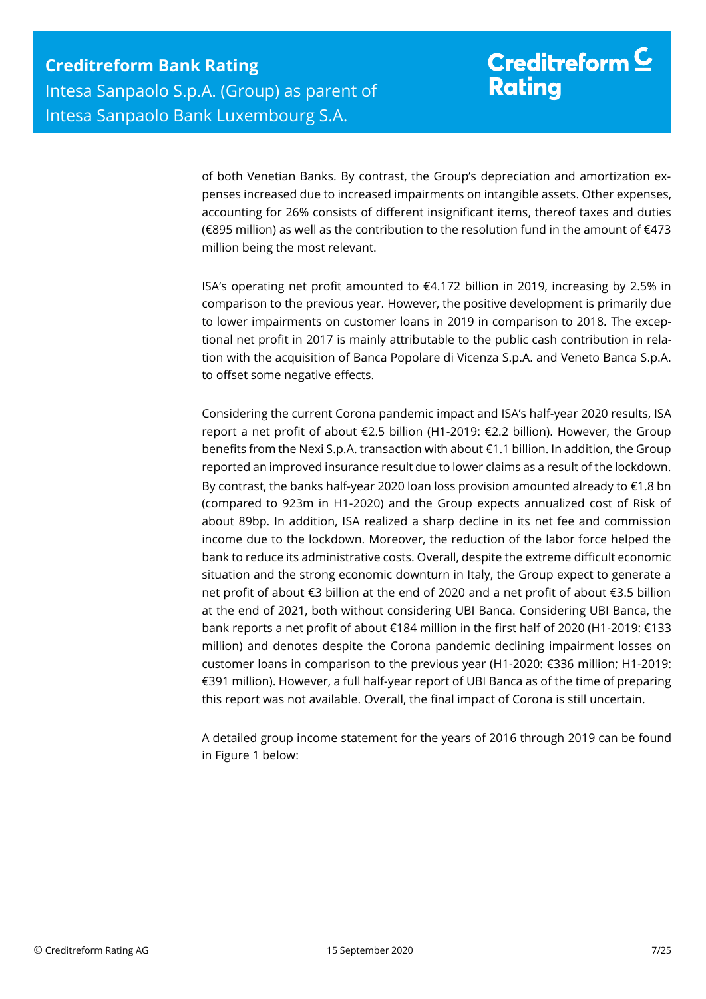of both Venetian Banks. By contrast, the Group's depreciation and amortization expenses increased due to increased impairments on intangible assets. Other expenses, accounting for 26% consists of different insignificant items, thereof taxes and duties (€895 million) as well as the contribution to the resolution fund in the amount of €473 million being the most relevant.

ISA's operating net profit amounted to  $\epsilon$ 4.172 billion in 2019, increasing by 2.5% in comparison to the previous year. However, the positive development is primarily due to lower impairments on customer loans in 2019 in comparison to 2018. The exceptional net profit in 2017 is mainly attributable to the public cash contribution in relation with the acquisition of Banca Popolare di Vicenza S.p.A. and Veneto Banca S.p.A. to offset some negative effects.

Considering the current Corona pandemic impact and ISA's half-year 2020 results, ISA report a net profit of about €2.5 billion (H1-2019: €2.2 billion). However, the Group benefits from the Nexi S.p.A. transaction with about €1.1 billion. In addition, the Group reported an improved insurance result due to lower claims as a result of the lockdown. By contrast, the banks half-year 2020 loan loss provision amounted already to €1.8 bn (compared to 923m in H1-2020) and the Group expects annualized cost of Risk of about 89bp. In addition, ISA realized a sharp decline in its net fee and commission income due to the lockdown. Moreover, the reduction of the labor force helped the bank to reduce its administrative costs. Overall, despite the extreme difficult economic situation and the strong economic downturn in Italy, the Group expect to generate a net profit of about €3 billion at the end of 2020 and a net profit of about €3.5 billion at the end of 2021, both without considering UBI Banca. Considering UBI Banca, the bank reports a net profit of about €184 million in the first half of 2020 (H1-2019: €133 million) and denotes despite the Corona pandemic declining impairment losses on customer loans in comparison to the previous year (H1-2020: €336 million; H1-2019: €391 million). However, a full half-year report of UBI Banca as of the time of preparing this report was not available. Overall, the final impact of Corona is still uncertain.

A detailed group income statement for the years of 2016 through 2019 can be found in Figure 1 below: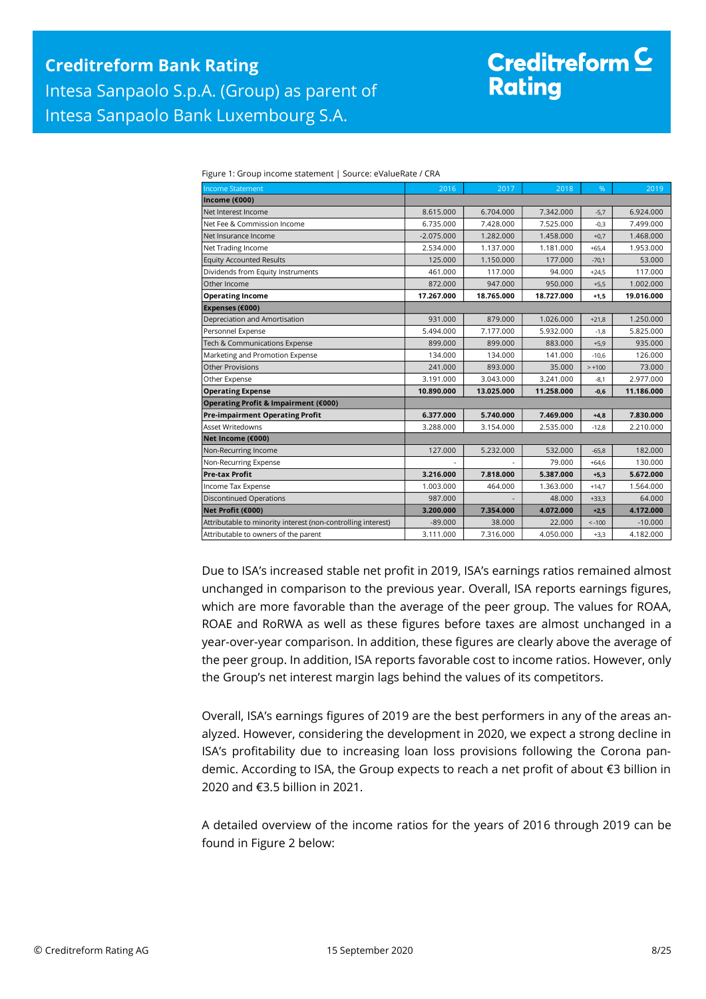# Creditreform<sup>C</sup> **Rating**

| <b>Income Statement</b>                                      | 2016         | 2017       | 2018       | %        | 2019       |
|--------------------------------------------------------------|--------------|------------|------------|----------|------------|
| Income (€000)                                                |              |            |            |          |            |
| Net Interest Income                                          | 8.615.000    | 6.704.000  | 7.342.000  | $-5,7$   | 6.924.000  |
| Net Fee & Commission Income                                  | 6.735.000    | 7.428.000  | 7.525.000  | $-0,3$   | 7.499.000  |
| Net Insurance Income                                         | $-2.075.000$ | 1.282.000  | 1.458.000  | $+0,7$   | 1.468.000  |
| Net Trading Income                                           | 2.534.000    | 1.137.000  | 1.181.000  | $+65.4$  | 1.953.000  |
| <b>Equity Accounted Results</b>                              | 125,000      | 1.150.000  | 177.000    | $-70,1$  | 53.000     |
| Dividends from Equity Instruments                            | 461.000      | 117.000    | 94.000     | $+24,5$  | 117.000    |
| Other Income                                                 | 872.000      | 947.000    | 950.000    | $+5,5$   | 1.002.000  |
| <b>Operating Income</b>                                      | 17.267.000   | 18.765.000 | 18.727.000 | $+1.5$   | 19.016.000 |
| Expenses (€000)                                              |              |            |            |          |            |
| Depreciation and Amortisation                                | 931.000      | 879,000    | 1.026.000  | $+21,8$  | 1.250.000  |
| Personnel Expense                                            | 5.494.000    | 7.177.000  | 5.932.000  | $-1,8$   | 5.825.000  |
| Tech & Communications Expense                                | 899,000      | 899.000    | 883.000    | $+5,9$   | 935.000    |
| Marketing and Promotion Expense                              | 134.000      | 134.000    | 141.000    | $-10.6$  | 126.000    |
| Other Provisions                                             | 241.000      | 893.000    | 35.000     | $> +100$ | 73.000     |
| Other Expense                                                | 3.191.000    | 3.043.000  | 3.241.000  | $-8,1$   | 2.977.000  |
| <b>Operating Expense</b>                                     | 10.890.000   | 13.025.000 | 11.258.000 | $-0,6$   | 11.186.000 |
| Operating Profit & Impairment (€000)                         |              |            |            |          |            |
| <b>Pre-impairment Operating Profit</b>                       | 6.377.000    | 5.740.000  | 7.469.000  | $+4,8$   | 7.830.000  |
| <b>Asset Writedowns</b>                                      | 3.288.000    | 3.154.000  | 2.535.000  | $-12,8$  | 2.210.000  |
| Net Income (€000)                                            |              |            |            |          |            |
| Non-Recurring Income                                         | 127,000      | 5.232.000  | 532.000    | $-65,8$  | 182.000    |
| Non-Recurring Expense                                        |              |            | 79.000     | $+64,6$  | 130.000    |
| <b>Pre-tax Profit</b>                                        | 3.216.000    | 7.818.000  | 5.387.000  | $+5,3$   | 5.672.000  |
| Income Tax Expense                                           | 1.003.000    | 464.000    | 1.363.000  | $+14.7$  | 1.564.000  |
| <b>Discontinued Operations</b>                               | 987.000      |            | 48.000     | $+33,3$  | 64.000     |
| Net Profit (€000)                                            | 3.200.000    | 7.354.000  | 4.072.000  | $+2,5$   | 4.172.000  |
| Attributable to minority interest (non-controlling interest) | $-89.000$    | 38.000     | 22.000     | $< -100$ | $-10,000$  |
| Attributable to owners of the parent                         | 3.111.000    | 7.316.000  | 4.050.000  | $+3,3$   | 4.182.000  |

Figure 1: Group income statement | Source: eValueRate / CRA

Due to ISA's increased stable net profit in 2019, ISA's earnings ratios remained almost unchanged in comparison to the previous year. Overall, ISA reports earnings figures, which are more favorable than the average of the peer group. The values for ROAA, ROAE and RoRWA as well as these figures before taxes are almost unchanged in a year-over-year comparison. In addition, these figures are clearly above the average of the peer group. In addition, ISA reports favorable cost to income ratios. However, only the Group's net interest margin lags behind the values of its competitors.

Overall, ISA's earnings figures of 2019 are the best performers in any of the areas analyzed. However, considering the development in 2020, we expect a strong decline in ISA's profitability due to increasing loan loss provisions following the Corona pandemic. According to ISA, the Group expects to reach a net profit of about €3 billion in 2020 and €3.5 billion in 2021.

A detailed overview of the income ratios for the years of 2016 through 2019 can be found in Figure 2 below: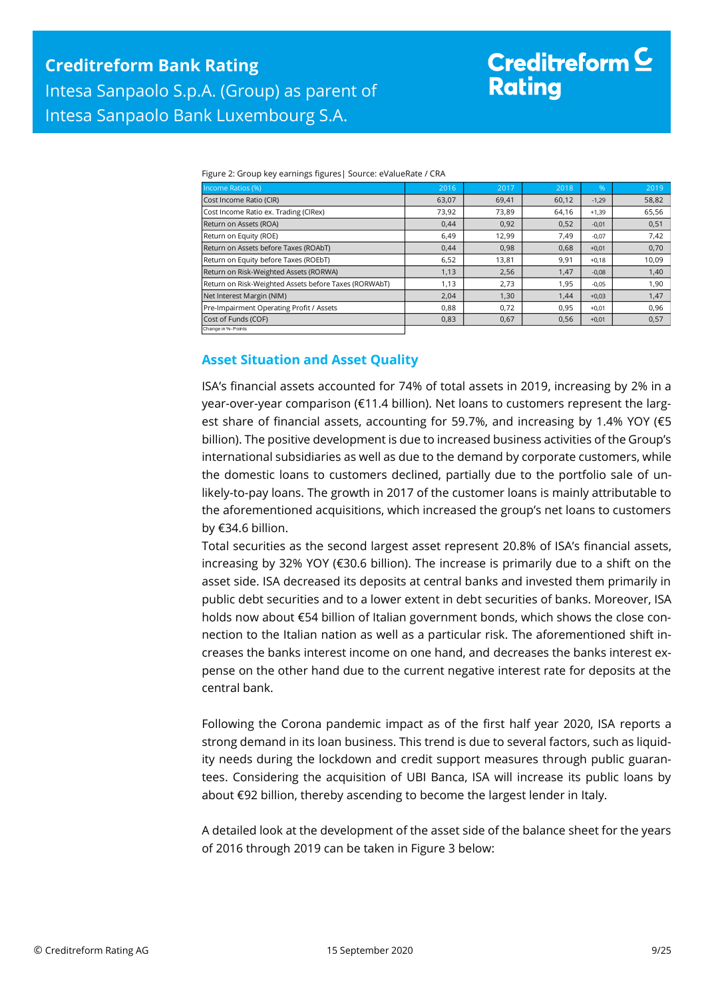# Creditreform  $\subseteq$ **Rating**

| Income Ratios (%)                                     | 2016  | 2017  | 2018  | $\frac{9}{6}$ | 2019  |
|-------------------------------------------------------|-------|-------|-------|---------------|-------|
| Cost Income Ratio (CIR)                               | 63,07 | 69,41 | 60,12 | $-1,29$       | 58,82 |
| Cost Income Ratio ex. Trading (CIRex)                 | 73,92 | 73,89 | 64,16 | $+1,39$       | 65,56 |
| Return on Assets (ROA)                                | 0,44  | 0,92  | 0,52  | $-0,01$       | 0,51  |
| Return on Equity (ROE)                                | 6,49  | 12,99 | 7,49  | $-0,07$       | 7,42  |
| Return on Assets before Taxes (ROAbT)                 | 0,44  | 0,98  | 0,68  | $+0,01$       | 0,70  |
| Return on Equity before Taxes (ROEbT)                 | 6,52  | 13,81 | 9,91  | $+0,18$       | 10,09 |
| Return on Risk-Weighted Assets (RORWA)                | 1,13  | 2,56  | 1,47  | $-0,08$       | 1,40  |
| Return on Risk-Weighted Assets before Taxes (RORWAbT) | 1,13  | 2,73  | 1,95  | $-0,05$       | 1,90  |
| Net Interest Margin (NIM)                             | 2,04  | 1,30  | 1,44  | $+0,03$       | 1,47  |
| Pre-Impairment Operating Profit / Assets              | 0,88  | 0,72  | 0,95  | $+0.01$       | 0,96  |
| Cost of Funds (COF)                                   | 0,83  | 0,67  | 0,56  | $+0,01$       | 0,57  |
| Change in %- Points                                   |       |       |       |               |       |

Figure 2: Group key earnings figures| Source: eValueRate / CRA

## <span id="page-8-0"></span>**Asset Situation and Asset Quality**

ISA's financial assets accounted for 74% of total assets in 2019, increasing by 2% in a year-over-year comparison (€11.4 billion). Net loans to customers represent the largest share of financial assets, accounting for 59.7%, and increasing by 1.4% YOY (€5 billion). The positive development is due to increased business activities of the Group's international subsidiaries as well as due to the demand by corporate customers, while the domestic loans to customers declined, partially due to the portfolio sale of unlikely-to-pay loans. The growth in 2017 of the customer loans is mainly attributable to the aforementioned acquisitions, which increased the group's net loans to customers by €34.6 billion.

Total securities as the second largest asset represent 20.8% of ISA's financial assets, increasing by 32% YOY (€30.6 billion). The increase is primarily due to a shift on the asset side. ISA decreased its deposits at central banks and invested them primarily in public debt securities and to a lower extent in debt securities of banks. Moreover, ISA holds now about €54 billion of Italian government bonds, which shows the close connection to the Italian nation as well as a particular risk. The aforementioned shift increases the banks interest income on one hand, and decreases the banks interest expense on the other hand due to the current negative interest rate for deposits at the central bank.

Following the Corona pandemic impact as of the first half year 2020, ISA reports a strong demand in its loan business. This trend is due to several factors, such as liquidity needs during the lockdown and credit support measures through public guarantees. Considering the acquisition of UBI Banca, ISA will increase its public loans by about €92 billion, thereby ascending to become the largest lender in Italy.

A detailed look at the development of the asset side of the balance sheet for the years of 2016 through 2019 can be taken in Figure 3 below: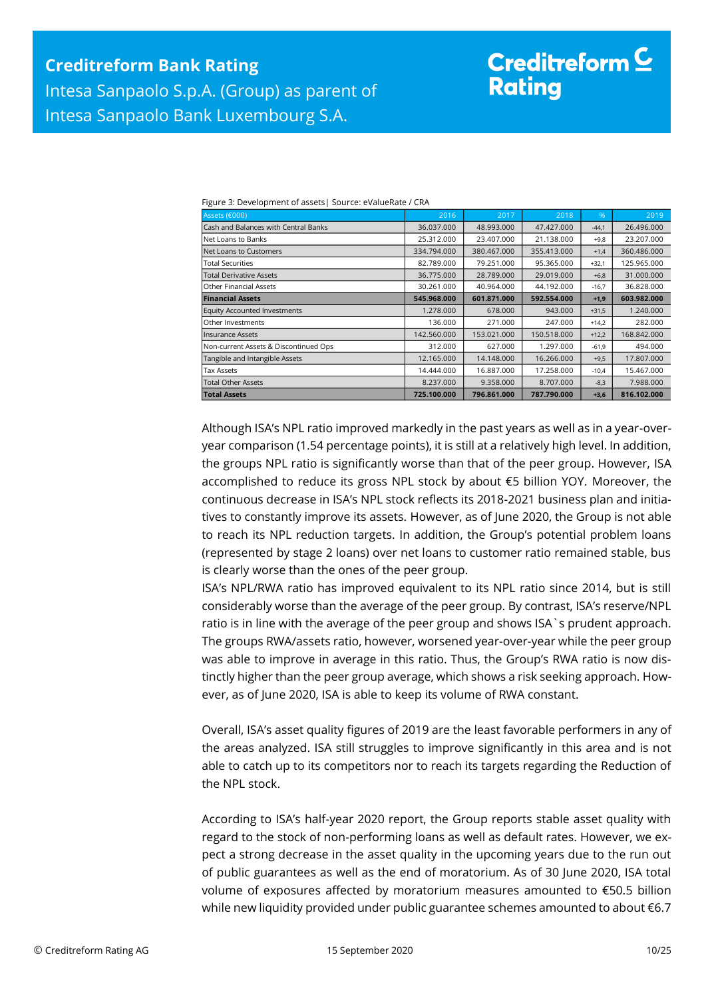# Creditreform  $\mathsf{\underline{C}}$ **Rating**

Figure 3: Development of assets| Source: eValueRate / CRA

| Assets (€000)                         | 2016        | 2017        | 2018        | $\%$    | 2019        |
|---------------------------------------|-------------|-------------|-------------|---------|-------------|
| Cash and Balances with Central Banks  | 36.037.000  | 48.993.000  | 47.427.000  | $-44,1$ | 26.496.000  |
| Net Loans to Banks                    | 25.312.000  | 23.407.000  | 21.138.000  | $+9,8$  | 23.207.000  |
| Net Loans to Customers                | 334.794.000 | 380.467.000 | 355.413.000 | $+1,4$  | 360,486,000 |
| <b>Total Securities</b>               | 82.789.000  | 79.251.000  | 95.365.000  | $+32,1$ | 125.965.000 |
| <b>Total Derivative Assets</b>        | 36.775.000  | 28.789.000  | 29.019.000  | $+6,8$  | 31.000.000  |
| <b>Other Financial Assets</b>         | 30.261.000  | 40.964.000  | 44.192.000  | $-16,7$ | 36.828.000  |
| <b>Financial Assets</b>               | 545.968.000 | 601.871.000 | 592.554.000 | $+1,9$  | 603.982.000 |
| <b>Equity Accounted Investments</b>   | 1.278.000   | 678,000     | 943.000     | $+31,5$ | 1.240.000   |
| Other Investments                     | 136.000     | 271.000     | 247.000     | $+14,2$ | 282.000     |
| <b>Insurance Assets</b>               | 142.560.000 | 153.021.000 | 150.518.000 | $+12,2$ | 168.842.000 |
| Non-current Assets & Discontinued Ops | 312.000     | 627.000     | 1.297.000   | $-61,9$ | 494.000     |
| Tangible and Intangible Assets        | 12.165.000  | 14.148.000  | 16.266.000  | $+9,5$  | 17.807.000  |
| <b>Tax Assets</b>                     | 14.444.000  | 16.887.000  | 17.258.000  | $-10,4$ | 15.467.000  |
| <b>Total Other Assets</b>             | 8.237.000   | 9.358.000   | 8.707.000   | $-8,3$  | 7.988.000   |
| <b>Total Assets</b>                   | 725.100.000 | 796.861.000 | 787.790.000 | $+3,6$  | 816.102.000 |

Although ISA's NPL ratio improved markedly in the past years as well as in a year-overyear comparison (1.54 percentage points), it is still at a relatively high level. In addition, the groups NPL ratio is significantly worse than that of the peer group. However, ISA accomplished to reduce its gross NPL stock by about €5 billion YOY. Moreover, the continuous decrease in ISA's NPL stock reflects its 2018-2021 business plan and initiatives to constantly improve its assets. However, as of June 2020, the Group is not able to reach its NPL reduction targets. In addition, the Group's potential problem loans (represented by stage 2 loans) over net loans to customer ratio remained stable, bus is clearly worse than the ones of the peer group.

ISA's NPL/RWA ratio has improved equivalent to its NPL ratio since 2014, but is still considerably worse than the average of the peer group. By contrast, ISA's reserve/NPL ratio is in line with the average of the peer group and shows ISA`s prudent approach. The groups RWA/assets ratio, however, worsened year-over-year while the peer group was able to improve in average in this ratio. Thus, the Group's RWA ratio is now distinctly higher than the peer group average, which shows a risk seeking approach. However, as of June 2020, ISA is able to keep its volume of RWA constant.

Overall, ISA's asset quality figures of 2019 are the least favorable performers in any of the areas analyzed. ISA still struggles to improve significantly in this area and is not able to catch up to its competitors nor to reach its targets regarding the Reduction of the NPL stock.

According to ISA's half-year 2020 report, the Group reports stable asset quality with regard to the stock of non-performing loans as well as default rates. However, we expect a strong decrease in the asset quality in the upcoming years due to the run out of public guarantees as well as the end of moratorium. As of 30 June 2020, ISA total volume of exposures affected by moratorium measures amounted to €50.5 billion while new liquidity provided under public guarantee schemes amounted to about €6.7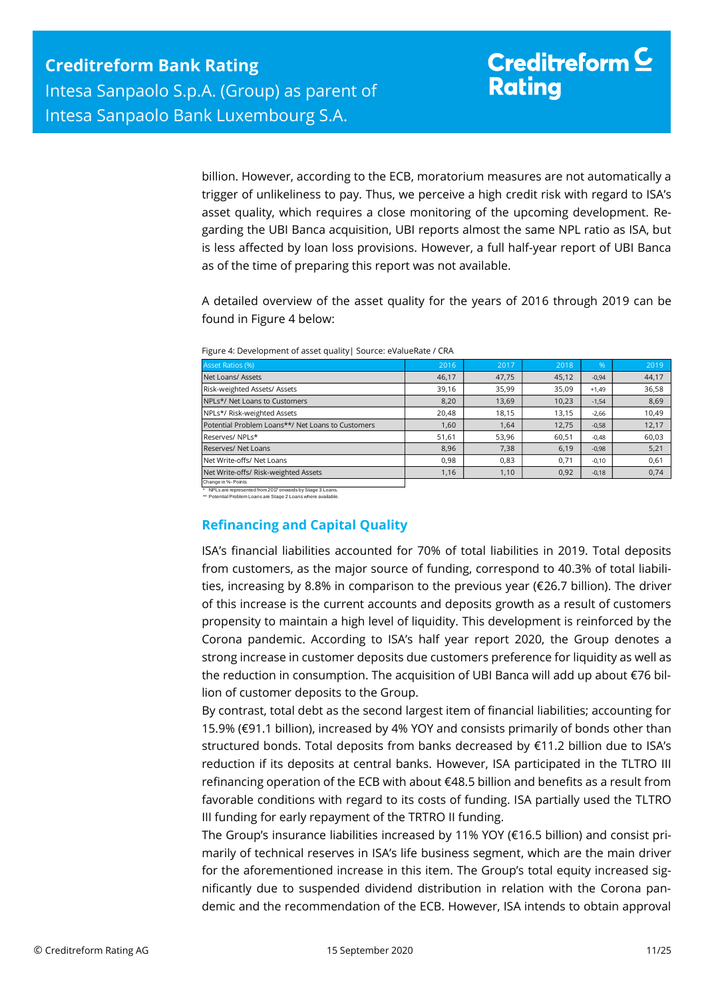billion. However, according to the ECB, moratorium measures are not automatically a trigger of unlikeliness to pay. Thus, we perceive a high credit risk with regard to ISA's asset quality, which requires a close monitoring of the upcoming development. Regarding the UBI Banca acquisition, UBI reports almost the same NPL ratio as ISA, but is less affected by loan loss provisions. However, a full half-year report of UBI Banca as of the time of preparing this report was not available.

A detailed overview of the asset quality for the years of 2016 through 2019 can be found in Figure 4 below:

| Asset Ratios (%)                                  | 2016  | 2017  | 2018  | %       | 2019  |
|---------------------------------------------------|-------|-------|-------|---------|-------|
| Net Loans/ Assets                                 | 46,17 | 47,75 | 45,12 | $-0.94$ | 44,17 |
| Risk-weighted Assets/ Assets                      | 39,16 | 35,99 | 35,09 | $+1,49$ | 36,58 |
| NPLs*/ Net Loans to Customers                     | 8,20  | 13,69 | 10,23 | $-1,54$ | 8,69  |
| NPLs*/ Risk-weighted Assets                       | 20.48 | 18.15 | 13.15 | $-2,66$ | 10,49 |
| Potential Problem Loans**/ Net Loans to Customers | 1.60  | 1.64  | 12,75 | $-0,58$ | 12,17 |
| Reserves/NPLs*                                    | 51,61 | 53,96 | 60,51 | $-0,48$ | 60,03 |
| Reserves/ Net Loans                               | 8,96  | 7,38  | 6,19  | $-0,98$ | 5,21  |
| Net Write-offs/ Net Loans                         | 0.98  | 0.83  | 0,71  | $-0,10$ | 0,61  |
| Net Write-offs/ Risk-weighted Assets              | 1,16  | 1,10  | 0,92  | $-0,18$ | 0,74  |
| Change in %- Points                               |       |       |       |         |       |

|  |  | Figure 4: Development of asset quality   Source: eValueRate / CRA |
|--|--|-------------------------------------------------------------------|
|--|--|-------------------------------------------------------------------|

\* NPLs are represented from 2017 onwards by Stage 3 Loans. \*\* Potential Problem Loans are Stage 2 Loans where available.

## <span id="page-10-0"></span>**Refinancing and Capital Quality**

ISA's financial liabilities accounted for 70% of total liabilities in 2019. Total deposits from customers, as the major source of funding, correspond to 40.3% of total liabilities, increasing by 8.8% in comparison to the previous year ( $\epsilon$ 26.7 billion). The driver of this increase is the current accounts and deposits growth as a result of customers propensity to maintain a high level of liquidity. This development is reinforced by the Corona pandemic. According to ISA's half year report 2020, the Group denotes a strong increase in customer deposits due customers preference for liquidity as well as the reduction in consumption. The acquisition of UBI Banca will add up about €76 billion of customer deposits to the Group.

By contrast, total debt as the second largest item of financial liabilities; accounting for 15.9% (€91.1 billion), increased by 4% YOY and consists primarily of bonds other than structured bonds. Total deposits from banks decreased by €11.2 billion due to ISA's reduction if its deposits at central banks. However, ISA participated in the TLTRO III refinancing operation of the ECB with about €48.5 billion and benefits as a result from favorable conditions with regard to its costs of funding. ISA partially used the TLTRO III funding for early repayment of the TRTRO II funding.

The Group's insurance liabilities increased by 11% YOY ( $\epsilon$ 16.5 billion) and consist primarily of technical reserves in ISA's life business segment, which are the main driver for the aforementioned increase in this item. The Group's total equity increased significantly due to suspended dividend distribution in relation with the Corona pandemic and the recommendation of the ECB. However, ISA intends to obtain approval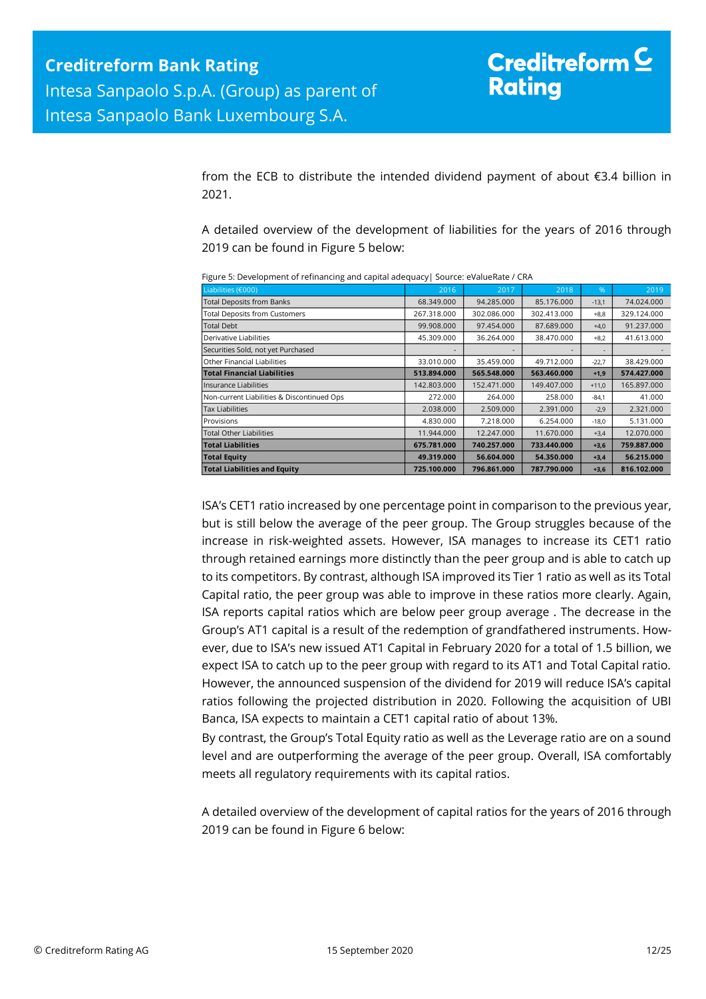from the ECB to distribute the intended dividend payment of about €3.4 billion in 2021.

A detailed overview of the development of liabilities for the years of 2016 through 2019 can be found in Figure 5 below:

| Liabilities (€000)                         | 2016        | 2017        | 2018        | %       | 2019        |
|--------------------------------------------|-------------|-------------|-------------|---------|-------------|
| <b>Total Deposits from Banks</b>           | 68.349.000  | 94.285.000  | 85.176.000  | $-13,1$ | 74.024.000  |
| <b>Total Deposits from Customers</b>       | 267.318.000 | 302.086.000 | 302.413.000 | $+8,8$  | 329.124.000 |
| <b>Total Debt</b>                          | 99.908.000  | 97.454.000  | 87.689.000  | $+4,0$  | 91.237.000  |
| Derivative Liabilities                     | 45.309.000  | 36.264.000  | 38.470.000  | $+8,2$  | 41.613.000  |
| Securities Sold, not yet Purchased         |             |             |             | ۰       |             |
| Other Financial Liabilities                | 33.010.000  | 35.459.000  | 49.712.000  | $-22,7$ | 38.429.000  |
| <b>Total Financial Liabilities</b>         | 513.894.000 | 565.548.000 | 563.460.000 | $+1,9$  | 574.427.000 |
| <b>Insurance Liabilities</b>               | 142.803.000 | 152.471.000 | 149.407.000 | $+11,0$ | 165.897.000 |
| Non-current Liabilities & Discontinued Ops | 272,000     | 264.000     | 258,000     | $-84,1$ | 41.000      |
| <b>Tax Liabilities</b>                     | 2.038.000   | 2.509.000   | 2.391.000   | $-2,9$  | 2.321.000   |
| Provisions                                 | 4.830.000   | 7.218.000   | 6.254.000   | $-18,0$ | 5.131.000   |
| <b>Total Other Liabilities</b>             | 11.944.000  | 12.247.000  | 11.670.000  | $+3,4$  | 12.070.000  |
| <b>Total Liabilities</b>                   | 675.781.000 | 740.257.000 | 733.440.000 | $+3,6$  | 759.887.000 |
| <b>Total Equity</b>                        | 49.319.000  | 56.604.000  | 54.350.000  | $+3,4$  | 56.215.000  |
| <b>Total Liabilities and Equity</b>        | 725.100.000 | 796.861.000 | 787.790.000 | $+3,6$  | 816.102.000 |

Figure 5: Development of refinancing and capital adequacy| Source: eValueRate / CRA

ISA's CET1 ratio increased by one percentage point in comparison to the previous year, but is still below the average of the peer group. The Group struggles because of the increase in risk-weighted assets. However, ISA manages to increase its CET1 ratio through retained earnings more distinctly than the peer group and is able to catch up to its competitors. By contrast, although ISA improved its Tier 1 ratio as well as its Total Capital ratio, the peer group was able to improve in these ratios more clearly. Again, ISA reports capital ratios which are below peer group average . The decrease in the Group's AT1 capital is a result of the redemption of grandfathered instruments. However, due to ISA's new issued AT1 Capital in February 2020 for a total of 1.5 billion, we expect ISA to catch up to the peer group with regard to its AT1 and Total Capital ratio. However, the announced suspension of the dividend for 2019 will reduce ISA's capital ratios following the projected distribution in 2020. Following the acquisition of UBI Banca, ISA expects to maintain a CET1 capital ratio of about 13%.

By contrast, the Group's Total Equity ratio as well as the Leverage ratio are on a sound level and are outperforming the average of the peer group. Overall, ISA comfortably meets all regulatory requirements with its capital ratios.

A detailed overview of the development of capital ratios for the years of 2016 through 2019 can be found in Figure 6 below: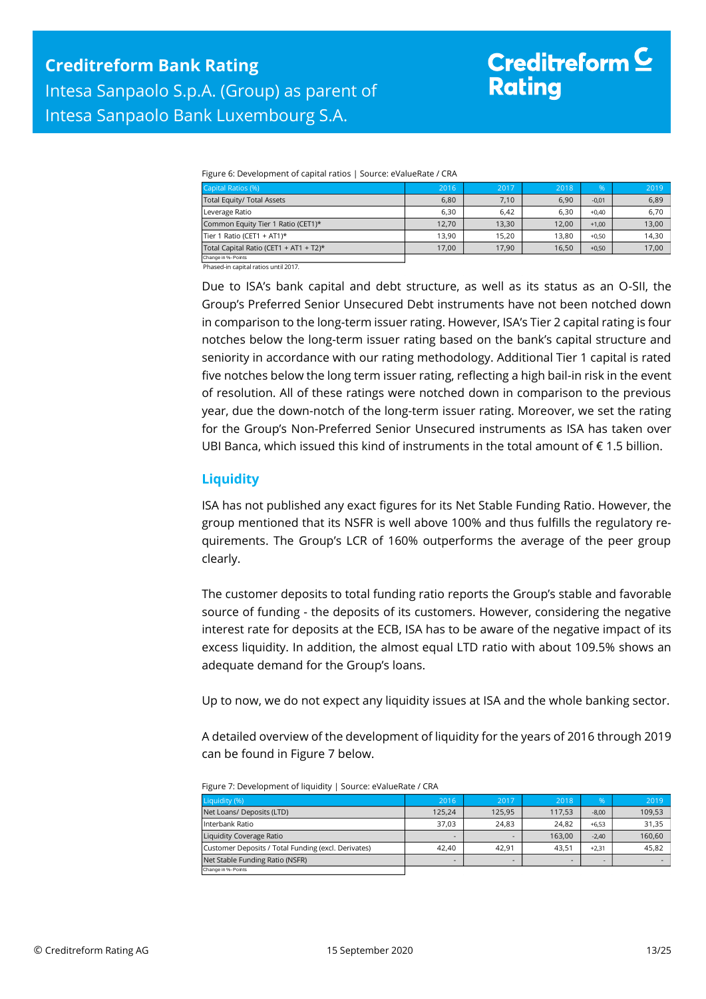## Creditreform  $\subseteq$ **Rating**

Figure 6: Development of capital ratios | Source: eValueRate / CRA

| Capital Ratios (%)                     | 2016  | 2017  | 2018  | %       | 2019  |
|----------------------------------------|-------|-------|-------|---------|-------|
| Total Equity/ Total Assets             | 6,80  | 7,10  | 6,90  | $-0,01$ | 6,89  |
| Leverage Ratio                         | 6,30  | 6.42  | 6,30  | $+0,40$ | 6,70  |
| Common Equity Tier 1 Ratio (CET1)*     | 12.70 | 13.30 | 12.00 | $+1.00$ | 13,00 |
| Tier 1 Ratio (CET1 + AT1)*             | 13.90 | 15.20 | 13.80 | $+0.50$ | 14,30 |
| Total Capital Ratio (CET1 + AT1 + T2)* | 17.00 | 17,90 | 16.50 | $+0,50$ | 17,00 |
| Change in %- Points                    |       |       |       |         |       |

Phased-in capital ratios until 2017.

<span id="page-12-0"></span>Due to ISA's bank capital and debt structure, as well as its status as an O-SII, the Group's Preferred Senior Unsecured Debt instruments have not been notched down in comparison to the long-term issuer rating. However, ISA's Tier 2 capital rating is four notches below the long-term issuer rating based on the bank's capital structure and seniority in accordance with our rating methodology. Additional Tier 1 capital is rated five notches below the long term issuer rating, reflecting a high bail-in risk in the event of resolution. All of these ratings were notched down in comparison to the previous year, due the down-notch of the long-term issuer rating. Moreover, we set the rating for the Group's Non-Preferred Senior Unsecured instruments as ISA has taken over UBI Banca, which issued this kind of instruments in the total amount of  $\epsilon$  1.5 billion.

## **Liquidity**

Change in %- Points

ISA has not published any exact figures for its Net Stable Funding Ratio. However, the group mentioned that its NSFR is well above 100% and thus fulfills the regulatory requirements. The Group's LCR of 160% outperforms the average of the peer group clearly.

The customer deposits to total funding ratio reports the Group's stable and favorable source of funding - the deposits of its customers. However, considering the negative interest rate for deposits at the ECB, ISA has to be aware of the negative impact of its excess liquidity. In addition, the almost equal LTD ratio with about 109.5% shows an adequate demand for the Group's loans.

Up to now, we do not expect any liquidity issues at ISA and the whole banking sector.

A detailed overview of the development of liquidity for the years of 2016 through 2019 can be found in Figure 7 below.

| Figure 7. Development of induitity 1 Source, evalue hate 7 CKA |        |        |        |         |        |
|----------------------------------------------------------------|--------|--------|--------|---------|--------|
| Liquidity (%)                                                  | 2016   | 2017   | 2018   | %       | 2019   |
| Net Loans/ Deposits (LTD)                                      | 125.24 | 125.95 | 117.53 | $-8,00$ | 109,53 |
| Interbank Ratio                                                | 37,03  | 24.83  | 24.82  | $+6.53$ | 31,35  |
| Liquidity Coverage Ratio                                       | -      |        | 163.00 | $-2.40$ | 160.60 |
| Customer Deposits / Total Funding (excl. Derivates)            | 42.40  | 42.91  | 43.51  | $+2.31$ | 45.82  |
| Net Stable Funding Ratio (NSFR)                                |        |        | -      |         |        |

Figure 7: Development of liquidity | Source: eValueRate / CRA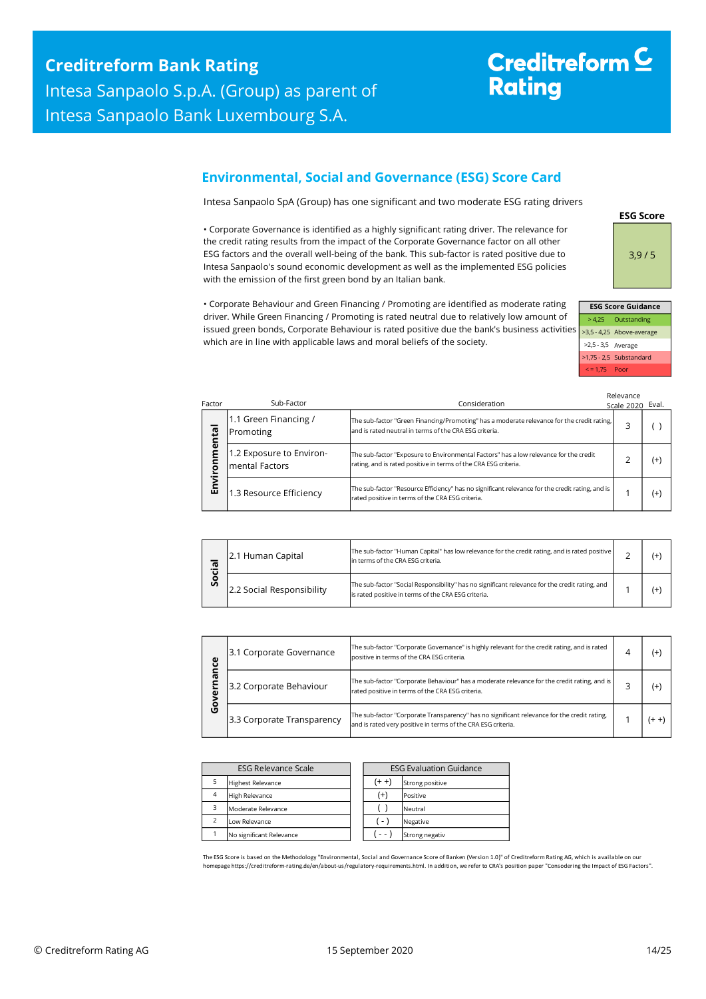# Creditreform<sup>C</sup> **Rating**

## <span id="page-13-0"></span>**Environmental, Social and Governance (ESG) Score Card**

Intesa Sanpaolo SpA (Group) has one significant and two moderate ESG rating drivers

• Corporate Governance is identified as a highly significant rating driver. The relevance for the credit rating results from the impact of the Corporate Governance factor on all other ESG factors and the overall well-being of the bank. This sub-factor is rated positive due to Intesa Sanpaolo's sound economic development as well as the implemented ESG policies with the emission of the first green bond by an Italian bank.

• Corporate Behaviour and Green Financing / Promoting are identified as moderate rating driver. While Green Financing / Promoting is rated neutral due to relatively low amount of issued green bonds, Corporate Behaviour is rated positive due the bank's business activities which are in line with applicable laws and moral beliefs of the society.



**ESG Score**

| <b>ESG Score Guidance</b> |                           |  |  |  |  |  |
|---------------------------|---------------------------|--|--|--|--|--|
|                           | > 4,25 Outstanding        |  |  |  |  |  |
|                           | >3,5 - 4,25 Above-average |  |  |  |  |  |
| >2,5 - 3,5 Average        |                           |  |  |  |  |  |
|                           | >1,75 - 2,5 Substandard   |  |  |  |  |  |
| $\le$ = 1.75 Poor         |                           |  |  |  |  |  |

Relevance

| Factor     | Sub-Factor                                 | Consideration                                                                                                                                            | Scale 2020 Eval. |       |
|------------|--------------------------------------------|----------------------------------------------------------------------------------------------------------------------------------------------------------|------------------|-------|
| ental<br>ō | 1.1 Green Financing /<br>Promoting         | The sub-factor "Green Financing/Promoting" has a moderate relevance for the credit rating,<br>and is rated neutral in terms of the CRA ESG criteria.     |                  |       |
|            | 1.2 Exposure to Environ-<br>mental Factors | The sub-factor "Exposure to Environmental Factors" has a low relevance for the credit<br>rating, and is rated positive in terms of the CRA ESG criteria. |                  | $(+)$ |
| ے<br>آ     | 1.3 Resource Efficiency                    | The sub-factor "Resource Efficiency" has no significant relevance for the credit rating, and is<br>rated positive in terms of the CRA ESG criteria.      |                  | $(+)$ |

| ര<br>ъ.<br>о<br>Ū | 2.1 Human Capital         | The sub-factor "Human Capital" has low relevance for the credit rating, and is rated positive<br>in terms of the CRA ESG criteria.                    |  |
|-------------------|---------------------------|-------------------------------------------------------------------------------------------------------------------------------------------------------|--|
|                   | 2.2 Social Responsibility | The sub-factor "Social Responsibility" has no significant relevance for the credit rating, and<br>is rated positive in terms of the CRA ESG criteria. |  |

| ဨ      | The sub-factor "Corporate Governance" is highly relevant for the credit rating, and is rated<br>3.1 Corporate Governance<br>positive in terms of the CRA ESG criteria. |                                                                                                                                                             | (+ |
|--------|------------------------------------------------------------------------------------------------------------------------------------------------------------------------|-------------------------------------------------------------------------------------------------------------------------------------------------------------|----|
| ᡕᢐ     | 3.2 Corporate Behaviour                                                                                                                                                | The sub-factor "Corporate Behaviour" has a moderate relevance for the credit rating, and is<br>rated positive in terms of the CRA ESG criteria.             | (+ |
| о<br>U | 3.3 Corporate Transparency                                                                                                                                             | The sub-factor "Corporate Transparency" has no significant relevance for the credit rating,<br>and is rated very positive in terms of the CRA ESG criteria. |    |

| <b>ESG Relevance Scale</b> |                          |  | <b>ESG Evaluation Guidance</b> |                 |  |
|----------------------------|--------------------------|--|--------------------------------|-----------------|--|
|                            | <b>Highest Relevance</b> |  | (+ +)                          | Strong positive |  |
| $\overline{4}$             | <b>High Relevance</b>    |  | $^{(+)}$                       | Positive        |  |
| з                          | Moderate Relevance       |  |                                | Neutral         |  |
| $\overline{\phantom{a}}$   | Low Relevance            |  | ( - )                          | Negative        |  |
|                            | No significant Relevance |  | - -                            | Strong negativ  |  |

The ESG Score is based on the Methodology "Environmental, Social and Governance Score of Banken (Version 1.0)" of Creditreform Rating AG, which is available on our homepage https://creditreform-rating.de/en/about-us/regulatory-requirements.html. In addition, we refer to CRA's position paper "Consodering the Impact of ESG Factors".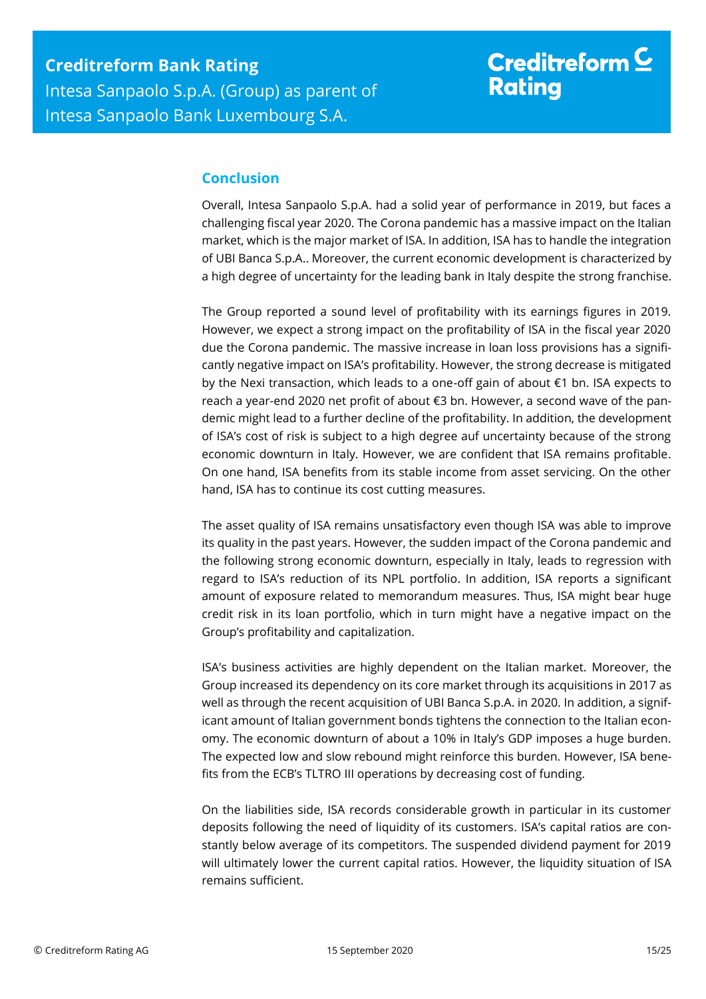## <span id="page-14-0"></span>**Conclusion**

Overall, Intesa Sanpaolo S.p.A. had a solid year of performance in 2019, but faces a challenging fiscal year 2020. The Corona pandemic has a massive impact on the Italian market, which is the major market of ISA. In addition, ISA has to handle the integration of UBI Banca S.p.A.. Moreover, the current economic development is characterized by a high degree of uncertainty for the leading bank in Italy despite the strong franchise.

The Group reported a sound level of profitability with its earnings figures in 2019. However, we expect a strong impact on the profitability of ISA in the fiscal year 2020 due the Corona pandemic. The massive increase in loan loss provisions has a significantly negative impact on ISA's profitability. However, the strong decrease is mitigated by the Nexi transaction, which leads to a one-off gain of about €1 bn. ISA expects to reach a year-end 2020 net profit of about €3 bn. However, a second wave of the pandemic might lead to a further decline of the profitability. In addition, the development of ISA's cost of risk is subject to a high degree auf uncertainty because of the strong economic downturn in Italy. However, we are confident that ISA remains profitable. On one hand, ISA benefits from its stable income from asset servicing. On the other hand, ISA has to continue its cost cutting measures.

The asset quality of ISA remains unsatisfactory even though ISA was able to improve its quality in the past years. However, the sudden impact of the Corona pandemic and the following strong economic downturn, especially in Italy, leads to regression with regard to ISA's reduction of its NPL portfolio. In addition, ISA reports a significant amount of exposure related to memorandum measures. Thus, ISA might bear huge credit risk in its loan portfolio, which in turn might have a negative impact on the Group's profitability and capitalization.

ISA's business activities are highly dependent on the Italian market. Moreover, the Group increased its dependency on its core market through its acquisitions in 2017 as well as through the recent acquisition of UBI Banca S.p.A. in 2020. In addition, a significant amount of Italian government bonds tightens the connection to the Italian economy. The economic downturn of about a 10% in Italy's GDP imposes a huge burden. The expected low and slow rebound might reinforce this burden. However, ISA benefits from the ECB's TLTRO III operations by decreasing cost of funding.

On the liabilities side, ISA records considerable growth in particular in its customer deposits following the need of liquidity of its customers. ISA's capital ratios are constantly below average of its competitors. The suspended dividend payment for 2019 will ultimately lower the current capital ratios. However, the liquidity situation of ISA remains sufficient.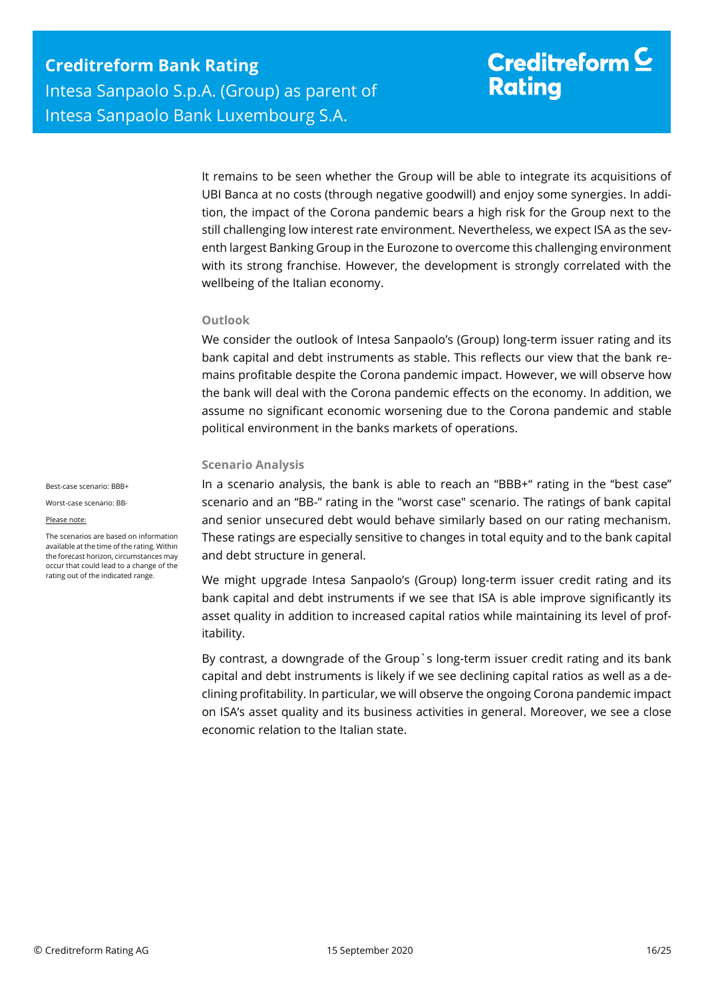It remains to be seen whether the Group will be able to integrate its acquisitions of UBI Banca at no costs (through negative goodwill) and enjoy some synergies. In addition, the impact of the Corona pandemic bears a high risk for the Group next to the still challenging low interest rate environment. Nevertheless, we expect ISA as the seventh largest Banking Group in the Eurozone to overcome this challenging environment with its strong franchise. However, the development is strongly correlated with the wellbeing of the Italian economy.

### **Outlook**

We consider the outlook of Intesa Sanpaolo's (Group) long-term issuer rating and its bank capital and debt instruments as stable. This reflects our view that the bank remains profitable despite the Corona pandemic impact. However, we will observe how the bank will deal with the Corona pandemic effects on the economy. In addition, we assume no significant economic worsening due to the Corona pandemic and stable political environment in the banks markets of operations.

### **Scenario Analysis**

In a scenario analysis, the bank is able to reach an "BBB+" rating in the "best case" scenario and an "BB-" rating in the "worst case" scenario. The ratings of bank capital and senior unsecured debt would behave similarly based on our rating mechanism. These ratings are especially sensitive to changes in total equity and to the bank capital and debt structure in general.

We might upgrade Intesa Sanpaolo's (Group) long-term issuer credit rating and its bank capital and debt instruments if we see that ISA is able improve significantly its asset quality in addition to increased capital ratios while maintaining its level of profitability.

By contrast, a downgrade of the Group`s long-term issuer credit rating and its bank capital and debt instruments is likely if we see declining capital ratios as well as a declining profitability. In particular, we will observe the ongoing Corona pandemic impact on ISA's asset quality and its business activities in general. Moreover, we see a close economic relation to the Italian state.

Best-case scenario: BBB+

Worst-case scenario: BB-

#### Please note:

The scenarios are based on information available at the time of the rating. Within the forecast horizon, circumstances may occur that could lead to a change of the rating out of the indicated range.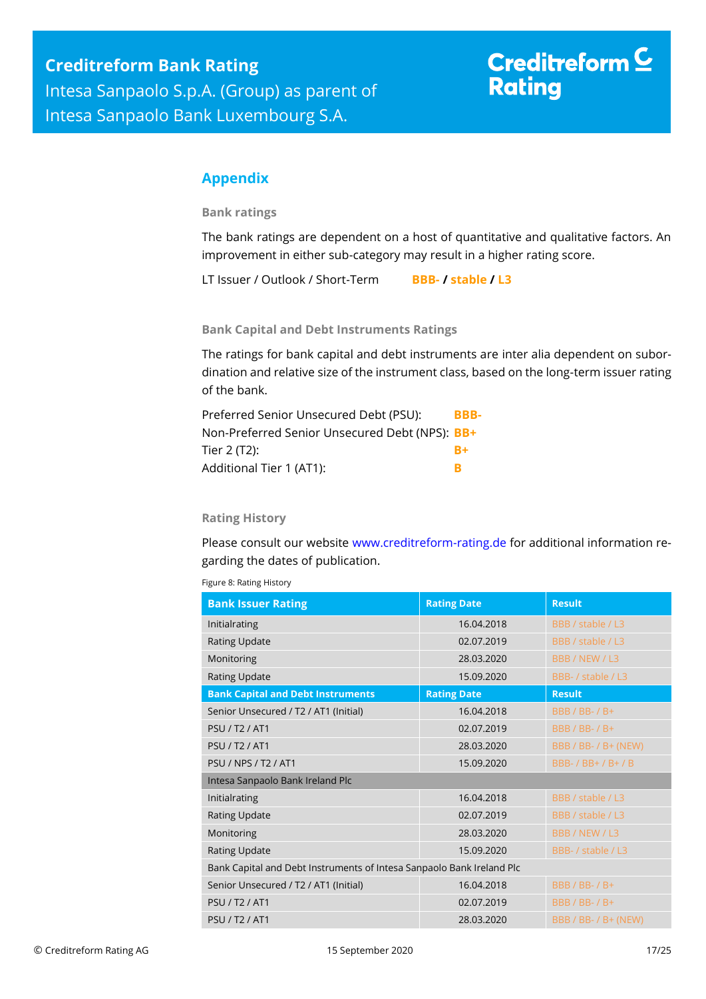## <span id="page-16-0"></span>**Appendix**

**Bank ratings**

The bank ratings are dependent on a host of quantitative and qualitative factors. An improvement in either sub-category may result in a higher rating score.

LT Issuer / Outlook / Short-Term **BBB- / stable / L3**

**Bank Capital and Debt Instruments Ratings**

The ratings for bank capital and debt instruments are inter alia dependent on subordination and relative size of the instrument class, based on the long-term issuer rating of the bank.

| Preferred Senior Unsecured Debt (PSU):         | BBB- |
|------------------------------------------------|------|
| Non-Preferred Senior Unsecured Debt (NPS): BB+ |      |
| Tier 2 (T2):                                   | $R+$ |
| Additional Tier 1 (AT1):                       | R    |

## **Rating History**

Please consult our website [www.creditreform-rating.de](http://www.creditreform-rating.de/) for additional information regarding the dates of publication.

| <b>Bank Issuer Rating</b>                                             | <b>Rating Date</b> | <b>Result</b>         |
|-----------------------------------------------------------------------|--------------------|-----------------------|
| Initialrating                                                         | 16.04.2018         | BBB / stable / L3     |
| <b>Rating Update</b>                                                  | 02.07.2019         | BBB / stable / L3     |
| Monitoring                                                            | 28.03.2020         | BBB / NEW / L3        |
| <b>Rating Update</b>                                                  | 15.09.2020         | BBB- / stable / L3    |
| <b>Bank Capital and Debt Instruments</b>                              | <b>Rating Date</b> | <b>Result</b>         |
| Senior Unsecured / T2 / AT1 (Initial)                                 | 16.04.2018         | <b>BBB / BB- / B+</b> |
| <b>PSU / T2 / AT1</b>                                                 | 02.07.2019         | <b>BBB / BB- / B+</b> |
| <b>PSU / T2 / AT1</b>                                                 | 28.03.2020         | BBB / BB- / B+ (NEW)  |
| <b>PSU / NPS / T2 / AT1</b>                                           | 15.09.2020         | BBB- / BB+ / B+ / B   |
| Intesa Sanpaolo Bank Ireland Plc                                      |                    |                       |
| Initialrating                                                         | 16.04.2018         | BBB / stable / L3     |
| <b>Rating Update</b>                                                  | 02.07.2019         | BBB / stable / L3     |
| Monitoring                                                            | 28.03.2020         | BBB / NEW / L3        |
| Rating Update                                                         | 15.09.2020         | BBB- / stable / L3    |
| Bank Capital and Debt Instruments of Intesa Sanpaolo Bank Ireland Plc |                    |                       |
| Senior Unsecured / T2 / AT1 (Initial)                                 | 16.04.2018         | <b>BBB / BB- / B+</b> |
| <b>PSU / T2 / AT1</b>                                                 | 02.07.2019         | <b>BBB / BB- / B+</b> |
| <b>PSU / T2 / AT1</b>                                                 | 28.03.2020         | BBB / BB- / B+ (NEW)  |

Figure 8: Rating History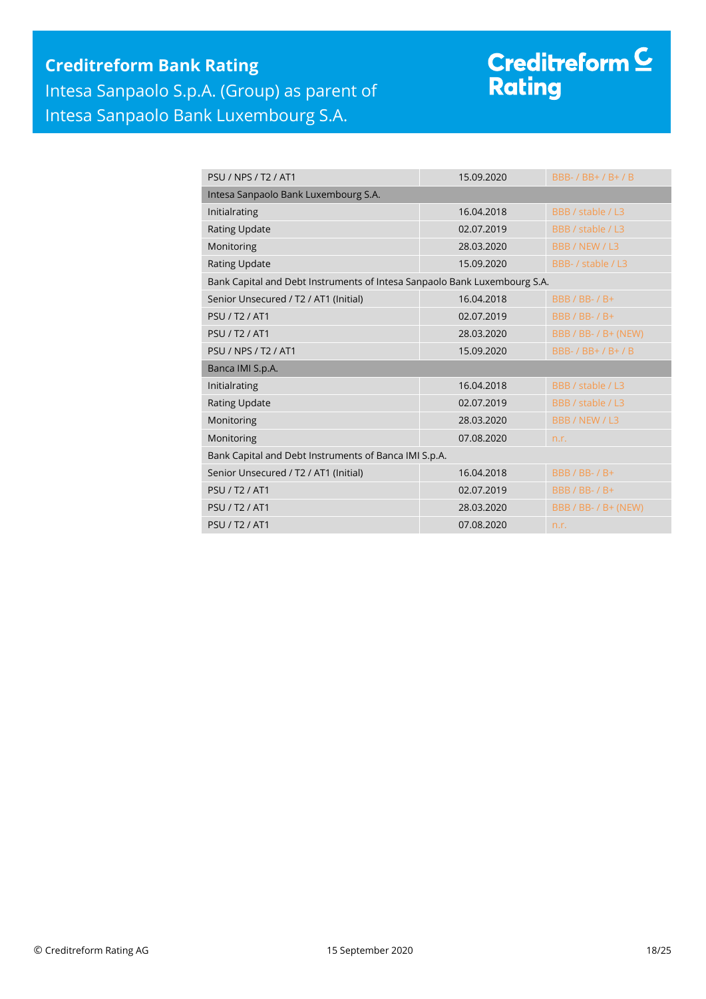## **Creditreform Bank Rating** Intesa Sanpaolo S.p.A. (Group) as parent of Intesa Sanpaolo Bank Luxembourg S.A.

# Creditreform <sup>C</sup><br>Rating

| <b>PSIJ/NPS/T2/AT1</b>                                                    | 15.09.2020 | BBB- / BB+ / B+ / B   |
|---------------------------------------------------------------------------|------------|-----------------------|
| Intesa Sanpaolo Bank Luxembourg S.A.                                      |            |                       |
| Initialrating                                                             | 16.04.2018 | BBB / stable / L3     |
| <b>Rating Update</b>                                                      | 02.07.2019 | BBB / stable / L3     |
| Monitoring                                                                | 28.03.2020 | BBB / NEW / L3        |
| <b>Rating Update</b>                                                      | 15.09.2020 | BBB- / stable / L3    |
| Bank Capital and Debt Instruments of Intesa Sanpaolo Bank Luxembourg S.A. |            |                       |
| Senior Unsecured / T2 / AT1 (Initial)                                     | 16.04.2018 | <b>BBB / BB- / B+</b> |
| <b>PSU / T2 / AT1</b>                                                     | 02.07.2019 | <b>BBB / BB- / B+</b> |
| <b>PSU / T2 / AT1</b>                                                     | 28.03.2020 | BBB / BB- / B+ (NEW)  |
| <b>PSU / NPS / T2 / AT1</b>                                               | 15.09.2020 | BBB- / BB+ / B+ / B   |
| Banca IMI S.p.A.                                                          |            |                       |
| Initialrating                                                             | 16.04.2018 | BBB / stable / L3     |
| <b>Rating Update</b>                                                      | 02.07.2019 | BBB / stable / L3     |
| Monitoring                                                                | 28.03.2020 | BBB / NEW / L3        |
| Monitoring                                                                | 07.08.2020 | n.r.                  |
| Bank Capital and Debt Instruments of Banca IMI S.p.A.                     |            |                       |
| Senior Unsecured / T2 / AT1 (Initial)                                     | 16.04.2018 | <b>BBB / BB- / B+</b> |
| <b>PSU / T2 / AT1</b>                                                     | 02.07.2019 | <b>BBB / BB- / B+</b> |
| <b>PSU / T2 / AT1</b>                                                     | 28.03.2020 | BBB / BB- / B+ (NEW)  |
| <b>PSU / T2 / AT1</b>                                                     | 07.08.2020 | n.r.                  |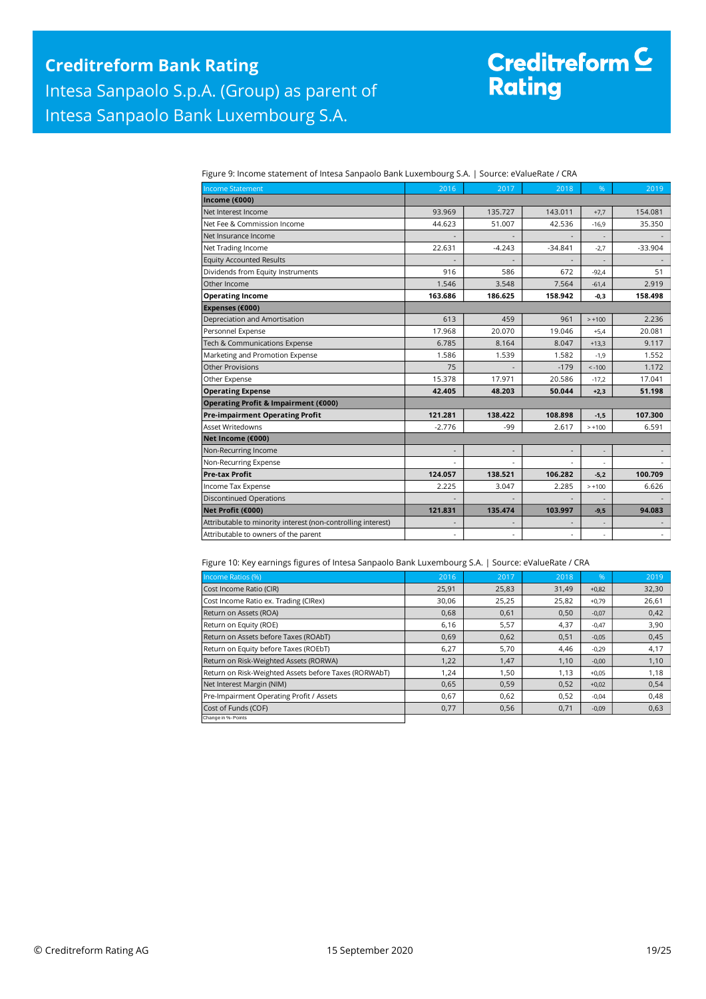# Creditreform C<br>Rating

| Figure 9: Income statement of Intesa Sanpaolo Bank Luxembourg S.A.   Source: eValueRate / CRA |  |
|-----------------------------------------------------------------------------------------------|--|
|                                                                                               |  |

| <b>Income Statement</b>                                      | 2016     | 2017     | 2018      | %        | 2019           |
|--------------------------------------------------------------|----------|----------|-----------|----------|----------------|
| Income (€000)                                                |          |          |           |          |                |
| Net Interest Income                                          | 93.969   | 135.727  | 143.011   | $+7,7$   | 154.081        |
| Net Fee & Commission Income                                  | 44.623   | 51.007   | 42.536    | $-16,9$  | 35.350         |
| Net Insurance Income                                         |          |          |           |          |                |
| Net Trading Income                                           | 22.631   | $-4.243$ | $-34.841$ | $-2,7$   | $-33.904$      |
| <b>Equity Accounted Results</b>                              |          |          |           |          |                |
| Dividends from Equity Instruments                            | 916      | 586      | 672       | $-92.4$  | 51             |
| Other Income                                                 | 1.546    | 3.548    | 7.564     | $-61,4$  | 2.919          |
| <b>Operating Income</b>                                      | 163.686  | 186.625  | 158.942   | $-0,3$   | 158.498        |
| Expenses (€000)                                              |          |          |           |          |                |
| Depreciation and Amortisation                                | 613      | 459      | 961       | $> +100$ | 2.236          |
| Personnel Expense                                            | 17.968   | 20.070   | 19.046    | $+5,4$   | 20.081         |
| Tech & Communications Expense                                | 6.785    | 8.164    | 8.047     | $+13,3$  | 9.117          |
| Marketing and Promotion Expense                              | 1.586    | 1.539    | 1.582     | $-1,9$   | 1.552          |
| <b>Other Provisions</b>                                      | 75       |          | $-179$    | $< -100$ | 1.172          |
| Other Expense                                                | 15.378   | 17.971   | 20.586    | $-17,2$  | 17.041         |
| <b>Operating Expense</b>                                     | 42.405   | 48.203   | 50.044    | $+2,3$   | 51.198         |
| Operating Profit & Impairment (€000)                         |          |          |           |          |                |
| <b>Pre-impairment Operating Profit</b>                       | 121.281  | 138.422  | 108.898   | $-1.5$   | 107.300        |
| <b>Asset Writedowns</b>                                      | $-2.776$ | -99      | 2.617     | $> +100$ | 6.591          |
| Net Income (€000)                                            |          |          |           |          |                |
| Non-Recurring Income                                         |          |          |           |          |                |
| Non-Recurring Expense                                        |          |          |           |          |                |
| <b>Pre-tax Profit</b>                                        | 124.057  | 138.521  | 106.282   | $-5,2$   | 100.709        |
| Income Tax Expense                                           | 2.225    | 3.047    | 2.285     | $> +100$ | 6.626          |
| <b>Discontinued Operations</b>                               |          |          |           |          |                |
| Net Profit (€000)                                            | 121.831  | 135.474  | 103.997   | $-9,5$   | 94.083         |
| Attributable to minority interest (non-controlling interest) |          |          |           |          |                |
| Attributable to owners of the parent                         | ä,       |          |           | ٠        | $\blacksquare$ |

#### Figure 10: Key earnings figures of Intesa Sanpaolo Bank Luxembourg S.A. | Source: eValueRate / CRA

| Income Ratios (%)                                     | 2016  | 2017  | 2018  | $\frac{9}{6}$ | 2019  |
|-------------------------------------------------------|-------|-------|-------|---------------|-------|
| Cost Income Ratio (CIR)                               | 25,91 | 25,83 | 31,49 | $+0,82$       | 32,30 |
| Cost Income Ratio ex. Trading (CIRex)                 | 30,06 | 25,25 | 25,82 | $+0,79$       | 26,61 |
| Return on Assets (ROA)                                | 0,68  | 0,61  | 0,50  | $-0,07$       | 0,42  |
| Return on Equity (ROE)                                | 6,16  | 5,57  | 4,37  | $-0,47$       | 3,90  |
| Return on Assets before Taxes (ROAbT)                 | 0,69  | 0,62  | 0,51  | $-0,05$       | 0,45  |
| Return on Equity before Taxes (ROEbT)                 | 6,27  | 5,70  | 4,46  | $-0,29$       | 4,17  |
| Return on Risk-Weighted Assets (RORWA)                | 1,22  | 1,47  | 1,10  | $-0,00$       | 1,10  |
| Return on Risk-Weighted Assets before Taxes (RORWAbT) | 1,24  | 1,50  | 1,13  | $+0,05$       | 1,18  |
| Net Interest Margin (NIM)                             | 0,65  | 0,59  | 0,52  | $+0,02$       | 0,54  |
| Pre-Impairment Operating Profit / Assets              | 0,67  | 0,62  | 0,52  | $-0.04$       | 0,48  |
| Cost of Funds (COF)                                   | 0,77  | 0,56  | 0,71  | $-0,09$       | 0,63  |
| Change in %- Points                                   |       |       |       |               |       |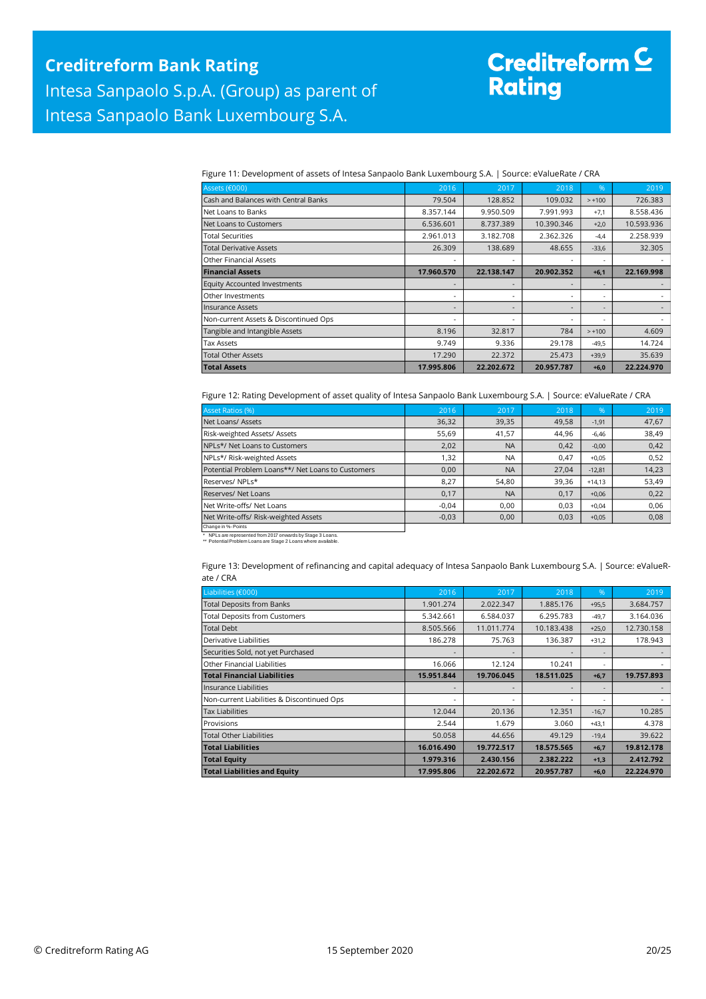# Creditreform <mark>C</mark><br>Rating

Figure 11: Development of assets of Intesa Sanpaolo Bank Luxembourg S.A. | Source: eValueRate / CRA

| Assets (€000)                         | 2016       | 2017       | 2018       | %        | 2019       |
|---------------------------------------|------------|------------|------------|----------|------------|
| Cash and Balances with Central Banks  | 79.504     | 128.852    | 109.032    | $> +100$ | 726.383    |
| Net Loans to Banks                    | 8.357.144  | 9.950.509  | 7.991.993  | $+7,1$   | 8.558.436  |
| Net Loans to Customers                | 6.536.601  | 8.737.389  | 10.390.346 | $+2,0$   | 10.593.936 |
| Total Securities                      | 2.961.013  | 3.182.708  | 2.362.326  | $-4,4$   | 2.258.939  |
| <b>Total Derivative Assets</b>        | 26.309     | 138.689    | 48.655     | $-33,6$  | 32.305     |
| <b>Other Financial Assets</b>         |            |            |            | ۰        |            |
| <b>Financial Assets</b>               | 17.960.570 | 22.138.147 | 20.902.352 | $+6,1$   | 22.169.998 |
| <b>Equity Accounted Investments</b>   |            |            |            |          |            |
| Other Investments                     | ٠          |            |            | ۰        |            |
| <b>Insurance Assets</b>               |            |            |            |          |            |
| Non-current Assets & Discontinued Ops | -          |            |            |          |            |
| Tangible and Intangible Assets        | 8.196      | 32.817     | 784        | $> +100$ | 4.609      |
| <b>Tax Assets</b>                     | 9.749      | 9.336      | 29.178     | $-49,5$  | 14.724     |
| <b>Total Other Assets</b>             | 17.290     | 22.372     | 25.473     | $+39,9$  | 35.639     |
| <b>Total Assets</b>                   | 17.995.806 | 22.202.672 | 20.957.787 | $+6,0$   | 22.224.970 |

Figure 12: Rating Development of asset quality of Intesa Sanpaolo Bank Luxembourg S.A. | Source: eValueRate / CRA

| Asset Ratios (%)                                  | 2016    | 2017      | 2018  | 96'      | 2019  |
|---------------------------------------------------|---------|-----------|-------|----------|-------|
| Net Loans/ Assets                                 | 36,32   | 39,35     | 49,58 | $-1,91$  | 47,67 |
| Risk-weighted Assets/ Assets                      | 55,69   | 41,57     | 44,96 | $-6,46$  | 38,49 |
| NPLs*/ Net Loans to Customers                     | 2,02    | <b>NA</b> | 0,42  | $-0,00$  | 0,42  |
| NPLs*/ Risk-weighted Assets                       | 1,32    | <b>NA</b> | 0.47  | $+0.05$  | 0,52  |
| Potential Problem Loans**/ Net Loans to Customers | 0,00    | <b>NA</b> | 27,04 | $-12,81$ | 14,23 |
| Reserves/NPLs*                                    | 8,27    | 54,80     | 39,36 | $+14.13$ | 53,49 |
| <b>Reserves/ Net Loans</b>                        | 0,17    | <b>NA</b> | 0,17  | $+0,06$  | 0,22  |
| Net Write-offs/ Net Loans                         | $-0.04$ | 0.00      | 0.03  | $+0.04$  | 0,06  |
| Net Write-offs/ Risk-weighted Assets              | $-0,03$ | 0,00      | 0,03  | $+0,05$  | 0,08  |
| Change in %- Points                               |         |           |       |          |       |

\* NPLs are represented from 2017 onwards by Stage 3 Loans. \*\* Potential Problem Loans are Stage 2 Loans where available.

Figure 13: Development of refinancing and capital adequacy of Intesa Sanpaolo Bank Luxembourg S.A. | Source: eValueRate / CRA

| Liabilities (€000)                         | 2016                     | 2017       | 2018       | $\%$    | 2019       |
|--------------------------------------------|--------------------------|------------|------------|---------|------------|
| <b>Total Deposits from Banks</b>           | 1.901.274                | 2.022.347  | 1.885.176  | $+95,5$ | 3.684.757  |
| <b>Total Deposits from Customers</b>       | 5.342.661                | 6.584.037  | 6.295.783  | $-49,7$ | 3.164.036  |
| Total Debt                                 | 8.505.566                | 11.011.774 | 10.183.438 | $+25,0$ | 12.730.158 |
| Derivative Liabilities                     | 186.278                  | 75.763     | 136.387    | $+31,2$ | 178.943    |
| Securities Sold, not yet Purchased         |                          |            |            | ۰       |            |
| Other Financial Liabilities                | 16.066                   | 12.124     | 10.241     | ۰       |            |
| <b>Total Financial Liabilities</b>         | 15.951.844               | 19.706.045 | 18.511.025 | $+6,7$  | 19.757.893 |
| Insurance Liabilities                      | ٠                        |            |            | ۰       |            |
| Non-current Liabilities & Discontinued Ops | $\overline{\phantom{0}}$ |            |            | ۰       |            |
| <b>Tax Liabilities</b>                     | 12.044                   | 20.136     | 12.351     | $-16,7$ | 10.285     |
| Provisions                                 | 2.544                    | 1.679      | 3.060      | $+43.1$ | 4.378      |
| Total Other Liabilities                    | 50.058                   | 44.656     | 49.129     | $-19,4$ | 39.622     |
| <b>Total Liabilities</b>                   | 16.016.490               | 19.772.517 | 18.575.565 | $+6,7$  | 19.812.178 |
| <b>Total Equity</b>                        | 1.979.316                | 2.430.156  | 2.382.222  | $+1,3$  | 2.412.792  |
| <b>Total Liabilities and Equity</b>        | 17.995.806               | 22.202.672 | 20.957.787 | $+6,0$  | 22.224.970 |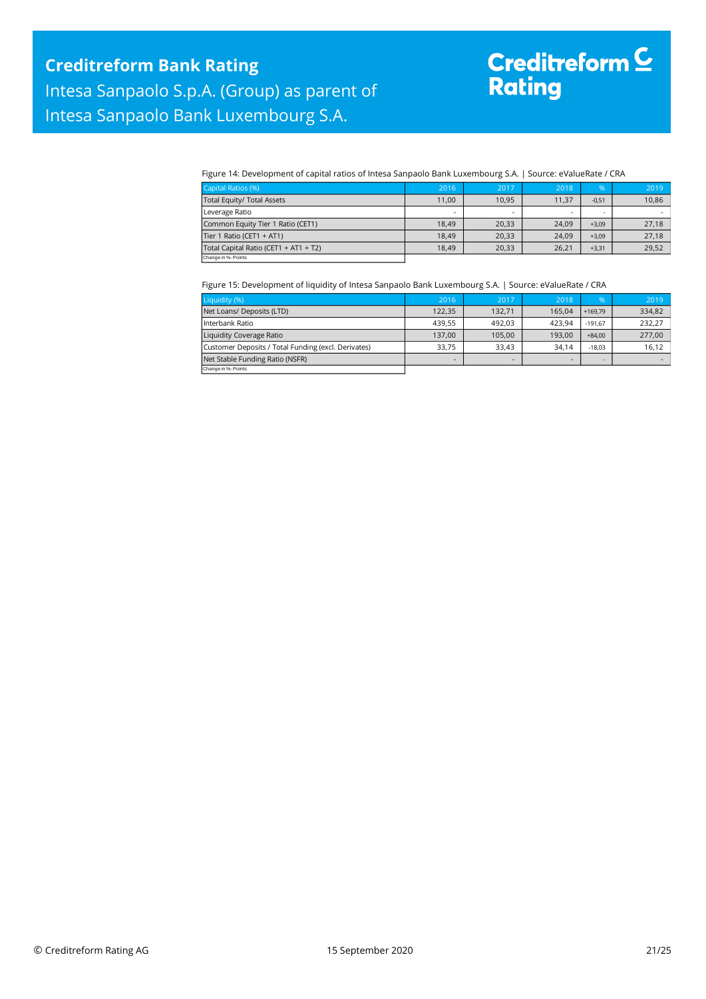# Creditreform C<br>Rating

Figure 14: Development of capital ratios of Intesa Sanpaolo Bank Luxembourg S.A. | Source: eValueRate / CRA

| Capital Ratios (%)                    | 2016                     | 2017                     | 2018  | $\%$    | 2019  |
|---------------------------------------|--------------------------|--------------------------|-------|---------|-------|
| Total Equity/ Total Assets            | 11,00                    | 10,95                    | 11,37 | $-0,51$ | 10,86 |
| Leverage Ratio                        | $\overline{\phantom{a}}$ | $\overline{\phantom{a}}$ |       |         |       |
| Common Equity Tier 1 Ratio (CET1)     | 18.49                    | 20,33                    | 24,09 | $+3,09$ | 27,18 |
| Tier 1 Ratio (CET1 + AT1)             | 18.49                    | 20.33                    | 24.09 | $+3.09$ | 27,18 |
| Total Capital Ratio (CET1 + AT1 + T2) | 18.49                    | 20,33                    | 26.21 | $+3,31$ | 29,52 |
| Change in %- Points                   |                          |                          |       |         |       |

#### Figure 15: Development of liquidity of Intesa Sanpaolo Bank Luxembourg S.A. | Source: eValueRate / CRA

| Liquidity (%)                                       | 2016   | 2017   | 2018   | %         | 2019   |
|-----------------------------------------------------|--------|--------|--------|-----------|--------|
| Net Loans/ Deposits (LTD)                           | 122.35 | 132,71 | 165.04 | $+169.79$ | 334,82 |
| Interbank Ratio                                     | 439.55 | 492.03 | 423.94 | $-191.67$ | 232,27 |
| Liquidity Coverage Ratio                            | 137.00 | 105,00 | 193.00 | $+84.00$  | 277,00 |
| Customer Deposits / Total Funding (excl. Derivates) | 33.75  | 33.43  | 34.14  | $-18.03$  | 16,12  |
| Net Stable Funding Ratio (NSFR)                     | -      | -      | -      |           |        |
| Change in %- Points                                 |        |        |        |           |        |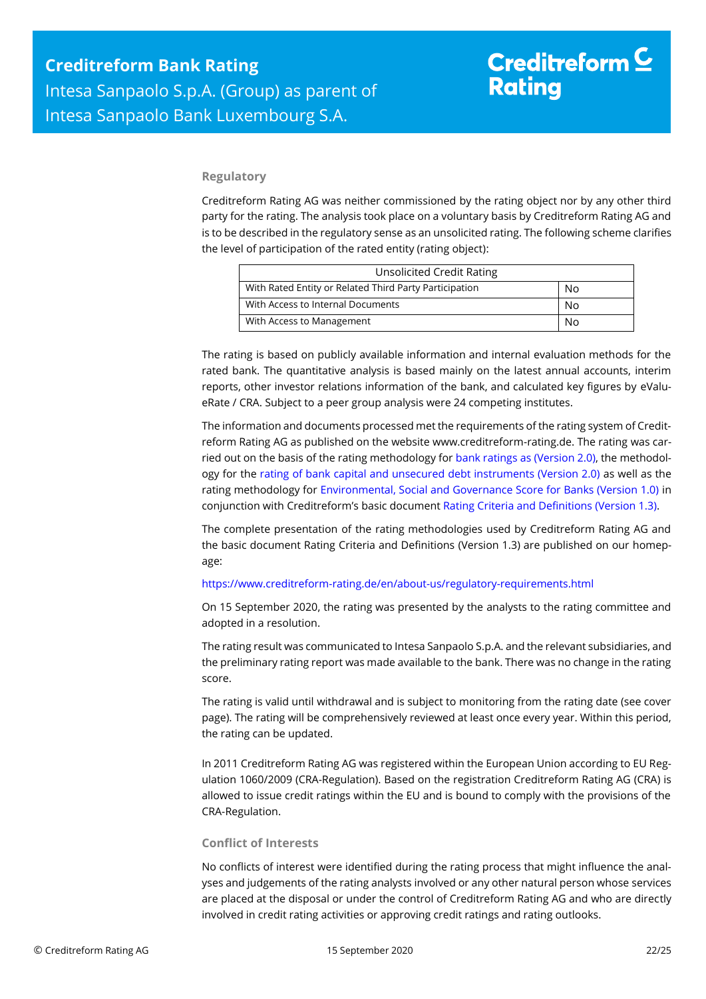### **Regulatory**

Creditreform Rating AG was neither commissioned by the rating object nor by any other third party for the rating. The analysis took place on a voluntary basis by Creditreform Rating AG and is to be described in the regulatory sense as an unsolicited rating. The following scheme clarifies the level of participation of the rated entity (rating object):

| <b>Unsolicited Credit Rating</b>                       |    |  |
|--------------------------------------------------------|----|--|
| With Rated Entity or Related Third Party Participation | No |  |
| With Access to Internal Documents                      | No |  |
| With Access to Management                              | N٥ |  |

The rating is based on publicly available information and internal evaluation methods for the rated bank. The quantitative analysis is based mainly on the latest annual accounts, interim reports, other investor relations information of the bank, and calculated key figures by eValueRate / CRA. Subject to a peer group analysis were 24 competing institutes.

The information and documents processed met the requirements of the rating system of Creditreform Rating AG as published on the website www.creditreform-rating.de. The rating was carried out on the basis of the rating methodology fo[r bank ratings as \(Version 2.0\),](https://www.creditreform-rating.de/en/about-us/regulatory-requirements.html?file=files/content/downloads/Externes%20Rating/Regulatorische%20Anforderungen/EN/Ratingmethodiken%20EN/Rating%20Methodology%20Bank%20Ratings%20v2.0.pdf) the methodology for the [rating of bank capital and unsecured debt instruments \(Version 2.0\)](https://www.creditreform-rating.de/en/about-us/regulatory-requirements.html?file=files/content/downloads/Externes%20Rating/Regulatorische%20Anforderungen/EN/Ratingmethodiken%20EN/Bank%20Capital%20and%20Unsecured%20Debt%20Instruments%20Methodology.pdf) as well as the rating methodology for [Environmental, Social and Governance Score for Banks \(Version 1.0\)](https://www.creditreform-rating.de/en/about-us/regulatory-requirements.html?file=files/content/downloads/Externes%20Rating/Regulatorische%20Anforderungen/EN/Ratingmethodiken%20EN/Rating%20Methodology%20ESG%20v1.0.pdf) in conjunction with Creditreform's basic documen[t Rating Criteria and Definitions \(Version 1.3\).](https://www.creditreform-rating.de/en/about-us/regulatory-requirements.html?file=files/content/downloads/Externes%20Rating/Regulatorische%20Anforderungen/EN/Ratingmethodiken%20EN/CRAG%20Rating%20Criteria%20and%20Definitions.pdf)

The complete presentation of the rating methodologies used by Creditreform Rating AG and the basic document Rating Criteria and Definitions (Version 1.3) are published on our homepage:

#### <https://www.creditreform-rating.de/en/about-us/regulatory-requirements.html>

On 15 September 2020, the rating was presented by the analysts to the rating committee and adopted in a resolution.

The rating result was communicated to Intesa Sanpaolo S.p.A. and the relevant subsidiaries, and the preliminary rating report was made available to the bank. There was no change in the rating score.

The rating is valid until withdrawal and is subject to monitoring from the rating date (see cover page). The rating will be comprehensively reviewed at least once every year. Within this period, the rating can be updated.

In 2011 Creditreform Rating AG was registered within the European Union according to EU Regulation 1060/2009 (CRA-Regulation). Based on the registration Creditreform Rating AG (CRA) is allowed to issue credit ratings within the EU and is bound to comply with the provisions of the CRA-Regulation.

### **Conflict of Interests**

No conflicts of interest were identified during the rating process that might influence the analyses and judgements of the rating analysts involved or any other natural person whose services are placed at the disposal or under the control of Creditreform Rating AG and who are directly involved in credit rating activities or approving credit ratings and rating outlooks.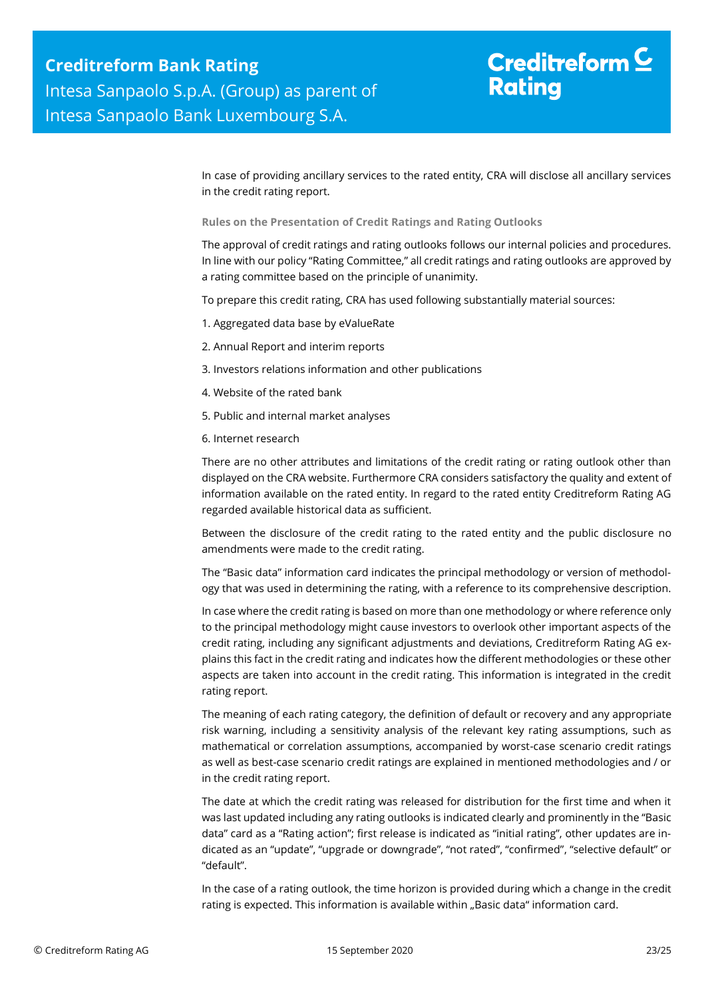# Creditreform  $\mathsf{\underline{C}}$ **Rating**

In case of providing ancillary services to the rated entity, CRA will disclose all ancillary services in the credit rating report.

**Rules on the Presentation of Credit Ratings and Rating Outlooks**

The approval of credit ratings and rating outlooks follows our internal policies and procedures. In line with our policy "Rating Committee," all credit ratings and rating outlooks are approved by a rating committee based on the principle of unanimity.

To prepare this credit rating, CRA has used following substantially material sources:

- 1. Aggregated data base by eValueRate
- 2. Annual Report and interim reports
- 3. Investors relations information and other publications
- 4. Website of the rated bank
- 5. Public and internal market analyses
- 6. Internet research

There are no other attributes and limitations of the credit rating or rating outlook other than displayed on the CRA website. Furthermore CRA considers satisfactory the quality and extent of information available on the rated entity. In regard to the rated entity Creditreform Rating AG regarded available historical data as sufficient.

Between the disclosure of the credit rating to the rated entity and the public disclosure no amendments were made to the credit rating.

The "Basic data" information card indicates the principal methodology or version of methodology that was used in determining the rating, with a reference to its comprehensive description.

In case where the credit rating is based on more than one methodology or where reference only to the principal methodology might cause investors to overlook other important aspects of the credit rating, including any significant adjustments and deviations, Creditreform Rating AG explains this fact in the credit rating and indicates how the different methodologies or these other aspects are taken into account in the credit rating. This information is integrated in the credit rating report.

The meaning of each rating category, the definition of default or recovery and any appropriate risk warning, including a sensitivity analysis of the relevant key rating assumptions, such as mathematical or correlation assumptions, accompanied by worst-case scenario credit ratings as well as best-case scenario credit ratings are explained in mentioned methodologies and / or in the credit rating report.

The date at which the credit rating was released for distribution for the first time and when it was last updated including any rating outlooks is indicated clearly and prominently in the "Basic data" card as a "Rating action"; first release is indicated as "initial rating", other updates are indicated as an "update", "upgrade or downgrade", "not rated", "confirmed", "selective default" or "default".

In the case of a rating outlook, the time horizon is provided during which a change in the credit rating is expected. This information is available within "Basic data" information card.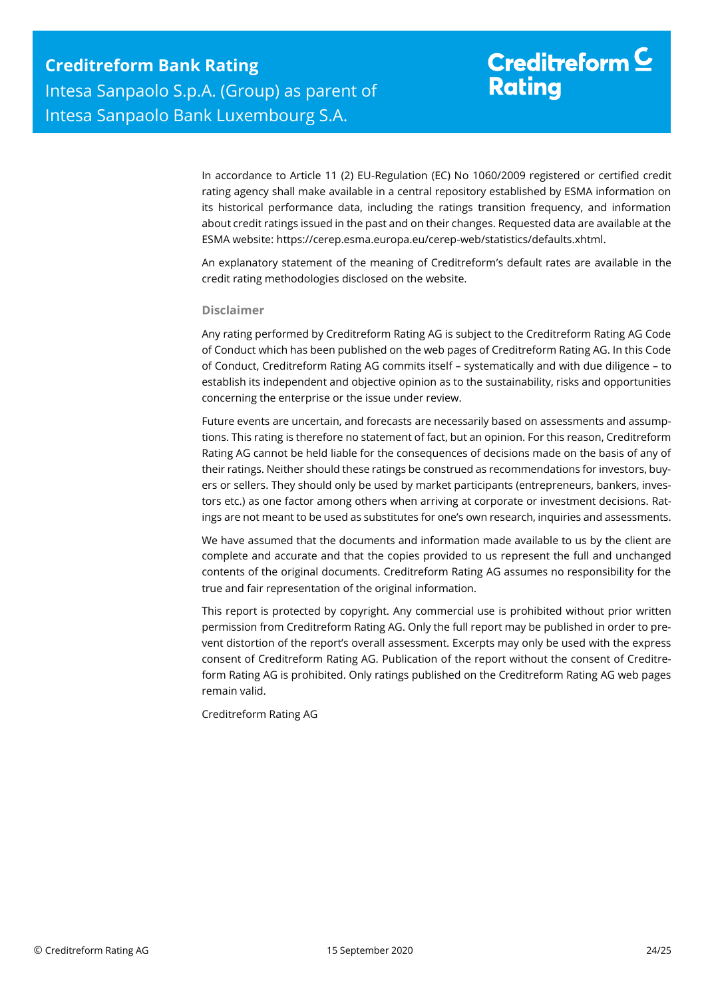# Creditreform  $\mathsf{\underline{C}}$ **Rating**

In accordance to Article 11 (2) EU-Regulation (EC) No 1060/2009 registered or certified credit rating agency shall make available in a central repository established by ESMA information on its historical performance data, including the ratings transition frequency, and information about credit ratings issued in the past and on their changes. Requested data are available at the ESMA website: https://cerep.esma.europa.eu/cerep-web/statistics/defaults.xhtml.

An explanatory statement of the meaning of Creditreform's default rates are available in the credit rating methodologies disclosed on the website.

### **Disclaimer**

Any rating performed by Creditreform Rating AG is subject to the Creditreform Rating AG Code of Conduct which has been published on the web pages of Creditreform Rating AG. In this Code of Conduct, Creditreform Rating AG commits itself – systematically and with due diligence – to establish its independent and objective opinion as to the sustainability, risks and opportunities concerning the enterprise or the issue under review.

Future events are uncertain, and forecasts are necessarily based on assessments and assumptions. This rating is therefore no statement of fact, but an opinion. For this reason, Creditreform Rating AG cannot be held liable for the consequences of decisions made on the basis of any of their ratings. Neither should these ratings be construed as recommendations for investors, buyers or sellers. They should only be used by market participants (entrepreneurs, bankers, investors etc.) as one factor among others when arriving at corporate or investment decisions. Ratings are not meant to be used as substitutes for one's own research, inquiries and assessments.

We have assumed that the documents and information made available to us by the client are complete and accurate and that the copies provided to us represent the full and unchanged contents of the original documents. Creditreform Rating AG assumes no responsibility for the true and fair representation of the original information.

This report is protected by copyright. Any commercial use is prohibited without prior written permission from Creditreform Rating AG. Only the full report may be published in order to prevent distortion of the report's overall assessment. Excerpts may only be used with the express consent of Creditreform Rating AG. Publication of the report without the consent of Creditreform Rating AG is prohibited. Only ratings published on the Creditreform Rating AG web pages remain valid.

Creditreform Rating AG